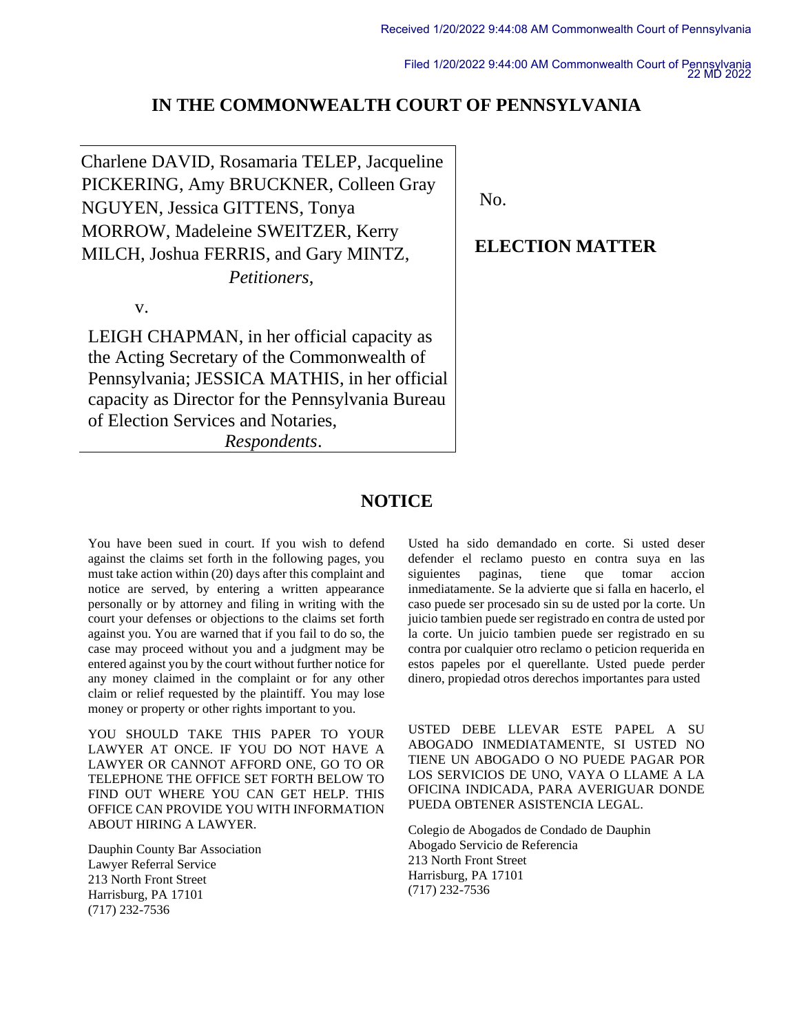Filed 1/20/2022 9:44:00 AM Commonwealth Court of Pennsylvania 22 MD 2022

#### **IN THE COMMONWEALTH COURT OF PENNSYLVANIA**

Charlene DAVID, Rosamaria TELEP, Jacqueline PICKERING, Amy BRUCKNER, Colleen Gray NGUYEN, Jessica GITTENS, Tonya MORROW, Madeleine SWEITZER, Kerry MILCH, Joshua FERRIS, and Gary MINTZ, *Petitioners*,

v.

LEIGH CHAPMAN, in her official capacity as the Acting Secretary of the Commonwealth of Pennsylvania; JESSICA MATHIS, in her official capacity as Director for the Pennsylvania Bureau of Election Services and Notaries,

*Respondents*.

No.

### **ELECTION MATTER**

### **NOTICE**

You have been sued in court. If you wish to defend against the claims set forth in the following pages, you must take action within (20) days after this complaint and notice are served, by entering a written appearance personally or by attorney and filing in writing with the court your defenses or objections to the claims set forth against you. You are warned that if you fail to do so, the case may proceed without you and a judgment may be entered against you by the court without further notice for any money claimed in the complaint or for any other claim or relief requested by the plaintiff. You may lose money or property or other rights important to you.

YOU SHOULD TAKE THIS PAPER TO YOUR LAWYER AT ONCE. IF YOU DO NOT HAVE A LAWYER OR CANNOT AFFORD ONE, GO TO OR TELEPHONE THE OFFICE SET FORTH BELOW TO FIND OUT WHERE YOU CAN GET HELP. THIS OFFICE CAN PROVIDE YOU WITH INFORMATION ABOUT HIRING A LAWYER.

Dauphin County Bar Association Lawyer Referral Service 213 North Front Street Harrisburg, PA 17101 (717) 232-7536

Usted ha sido demandado en corte. Si usted deser defender el reclamo puesto en contra suya en las siguientes paginas, tiene que tomar accion inmediatamente. Se la advierte que si falla en hacerlo, el caso puede ser procesado sin su de usted por la corte. Un juicio tambien puede ser registrado en contra de usted por la corte. Un juicio tambien puede ser registrado en su contra por cualquier otro reclamo o peticion requerida en estos papeles por el querellante. Usted puede perder dinero, propiedad otros derechos importantes para usted

USTED DEBE LLEVAR ESTE PAPEL A SU ABOGADO INMEDIATAMENTE, SI USTED NO TIENE UN ABOGADO O NO PUEDE PAGAR POR LOS SERVICIOS DE UNO, VAYA O LLAME A LA OFICINA INDICADA, PARA AVERIGUAR DONDE PUEDA OBTENER ASISTENCIA LEGAL.

Colegio de Abogados de Condado de Dauphin Abogado Servicio de Referencia 213 North Front Street Harrisburg, PA 17101 (717) 232-7536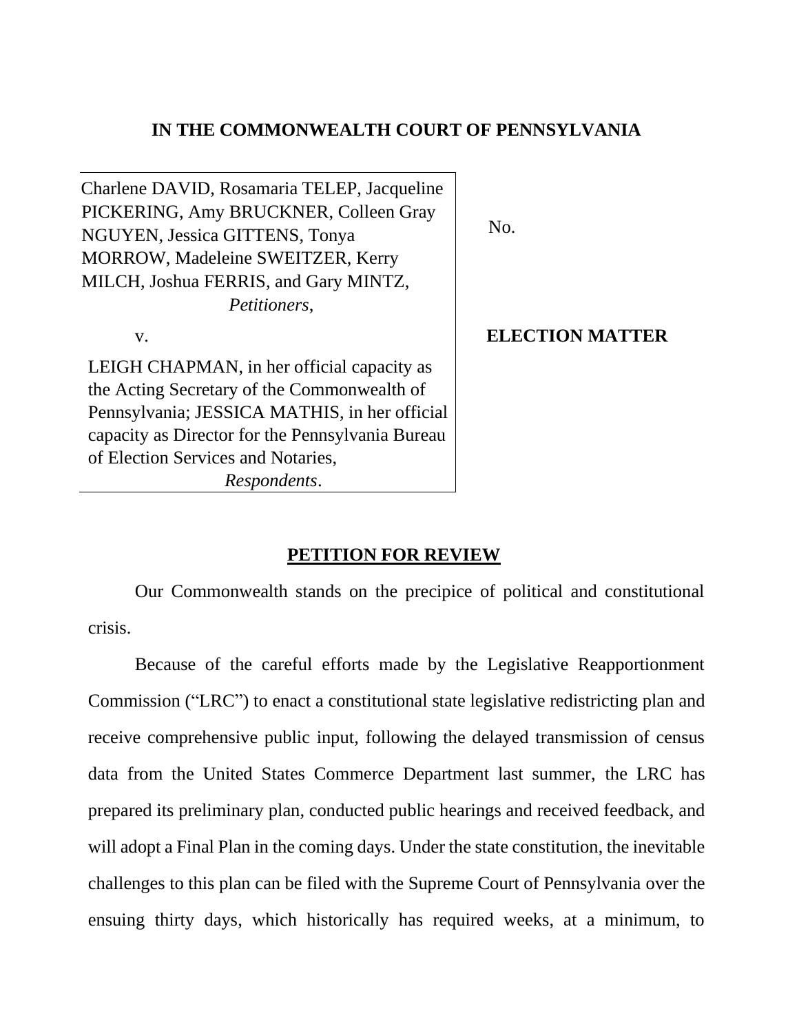### **IN THE COMMONWEALTH COURT OF PENNSYLVANIA**

Charlene DAVID, Rosamaria TELEP, Jacqueline PICKERING, Amy BRUCKNER, Colleen Gray NGUYEN, Jessica GITTENS, Tonya MORROW, Madeleine SWEITZER, Kerry MILCH, Joshua FERRIS, and Gary MINTZ, *Petitioners*,

v.

LEIGH CHAPMAN, in her official capacity as the Acting Secretary of the Commonwealth of Pennsylvania; JESSICA MATHIS, in her official capacity as Director for the Pennsylvania Bureau of Election Services and Notaries,

*Respondents*.

No.

#### **ELECTION MATTER**

#### **PETITION FOR REVIEW**

Our Commonwealth stands on the precipice of political and constitutional crisis.

Because of the careful efforts made by the Legislative Reapportionment Commission ("LRC") to enact a constitutional state legislative redistricting plan and receive comprehensive public input, following the delayed transmission of census data from the United States Commerce Department last summer, the LRC has prepared its preliminary plan, conducted public hearings and received feedback, and will adopt a Final Plan in the coming days. Under the state constitution, the inevitable challenges to this plan can be filed with the Supreme Court of Pennsylvania over the ensuing thirty days, which historically has required weeks, at a minimum, to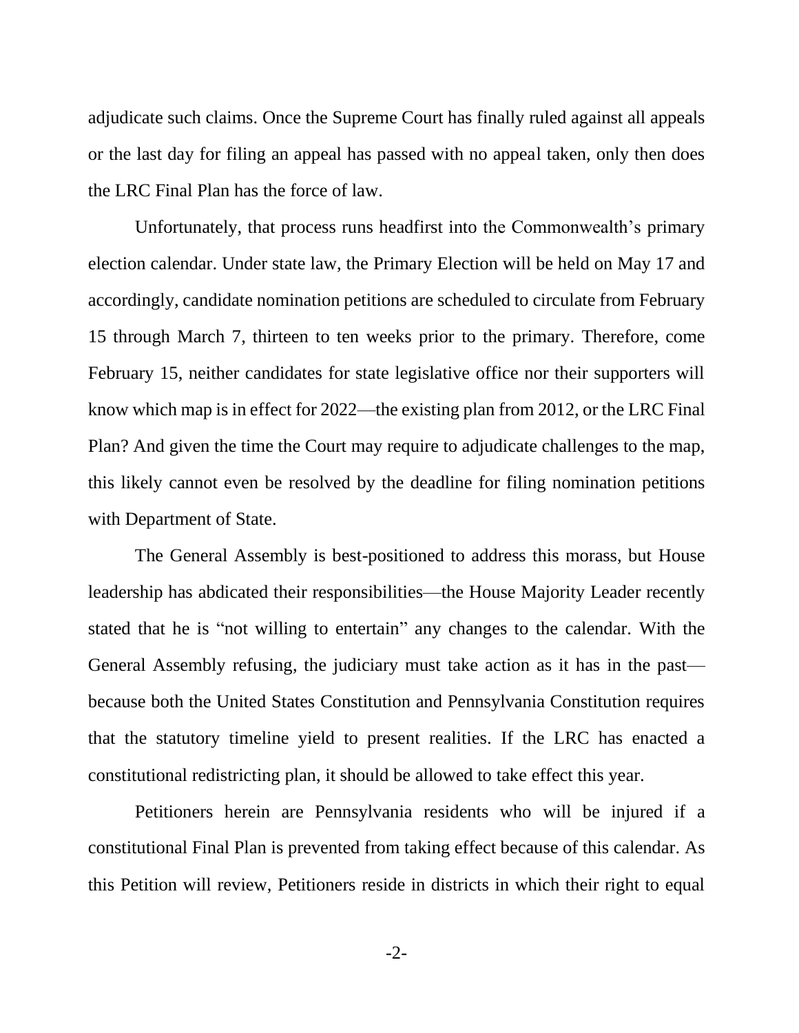adjudicate such claims. Once the Supreme Court has finally ruled against all appeals or the last day for filing an appeal has passed with no appeal taken, only then does the LRC Final Plan has the force of law.

Unfortunately, that process runs headfirst into the Commonwealth's primary election calendar. Under state law, the Primary Election will be held on May 17 and accordingly, candidate nomination petitions are scheduled to circulate from February 15 through March 7, thirteen to ten weeks prior to the primary. Therefore, come February 15, neither candidates for state legislative office nor their supporters will know which map is in effect for 2022—the existing plan from 2012, or the LRC Final Plan? And given the time the Court may require to adjudicate challenges to the map, this likely cannot even be resolved by the deadline for filing nomination petitions with Department of State.

The General Assembly is best-positioned to address this morass, but House leadership has abdicated their responsibilities—the House Majority Leader recently stated that he is "not willing to entertain" any changes to the calendar. With the General Assembly refusing, the judiciary must take action as it has in the past because both the United States Constitution and Pennsylvania Constitution requires that the statutory timeline yield to present realities. If the LRC has enacted a constitutional redistricting plan, it should be allowed to take effect this year.

Petitioners herein are Pennsylvania residents who will be injured if a constitutional Final Plan is prevented from taking effect because of this calendar. As this Petition will review, Petitioners reside in districts in which their right to equal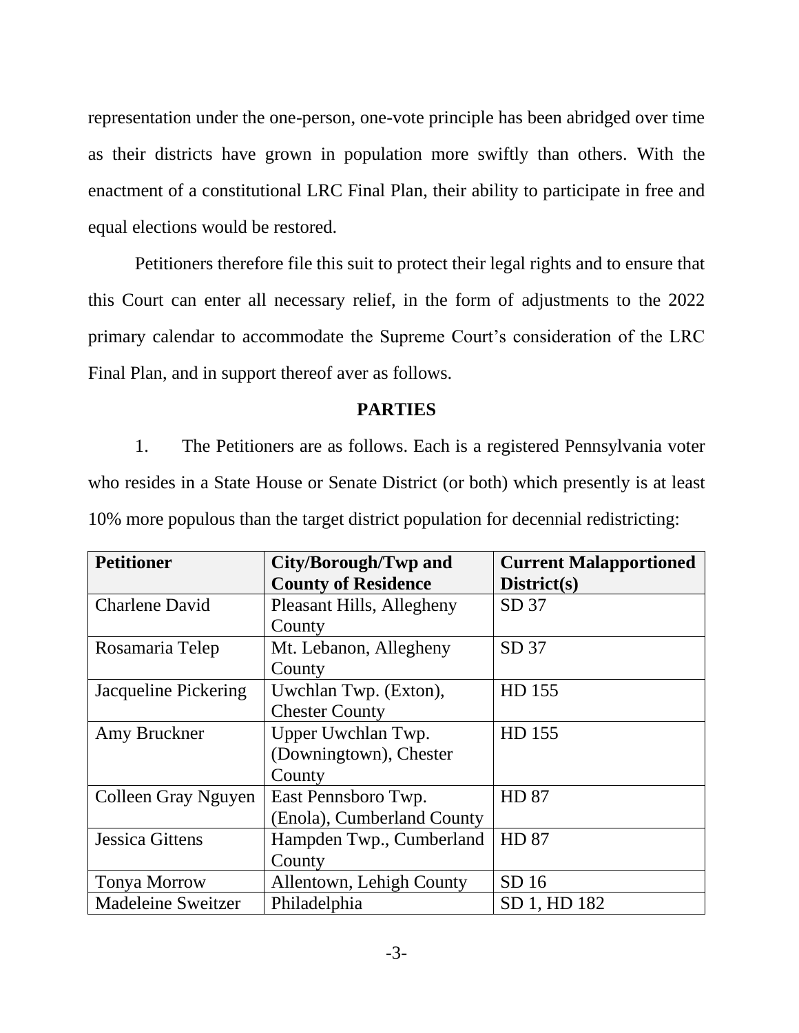representation under the one-person, one-vote principle has been abridged over time as their districts have grown in population more swiftly than others. With the enactment of a constitutional LRC Final Plan, their ability to participate in free and equal elections would be restored.

Petitioners therefore file this suit to protect their legal rights and to ensure that this Court can enter all necessary relief, in the form of adjustments to the 2022 primary calendar to accommodate the Supreme Court's consideration of the LRC Final Plan, and in support thereof aver as follows.

### **PARTIES**

1. The Petitioners are as follows. Each is a registered Pennsylvania voter who resides in a State House or Senate District (or both) which presently is at least 10% more populous than the target district population for decennial redistricting:

| <b>Petitioner</b>         | City/Borough/Twp and       | <b>Current Malapportioned</b> |
|---------------------------|----------------------------|-------------------------------|
|                           | <b>County of Residence</b> | District(s)                   |
| <b>Charlene David</b>     | Pleasant Hills, Allegheny  | SD 37                         |
|                           | County                     |                               |
| Rosamaria Telep           | Mt. Lebanon, Allegheny     | SD 37                         |
|                           | County                     |                               |
| Jacqueline Pickering      | Uwchlan Twp. (Exton),      | HD 155                        |
|                           | <b>Chester County</b>      |                               |
| Amy Bruckner              | Upper Uwchlan Twp.         | HD 155                        |
|                           | (Downingtown), Chester     |                               |
|                           | County                     |                               |
| Colleen Gray Nguyen       | East Pennsboro Twp.        | <b>HD 87</b>                  |
|                           | (Enola), Cumberland County |                               |
| <b>Jessica Gittens</b>    | Hampden Twp., Cumberland   | HD 87                         |
|                           | County                     |                               |
| <b>Tonya Morrow</b>       | Allentown, Lehigh County   | SD <sub>16</sub>              |
| <b>Madeleine Sweitzer</b> | Philadelphia               | SD 1, HD 182                  |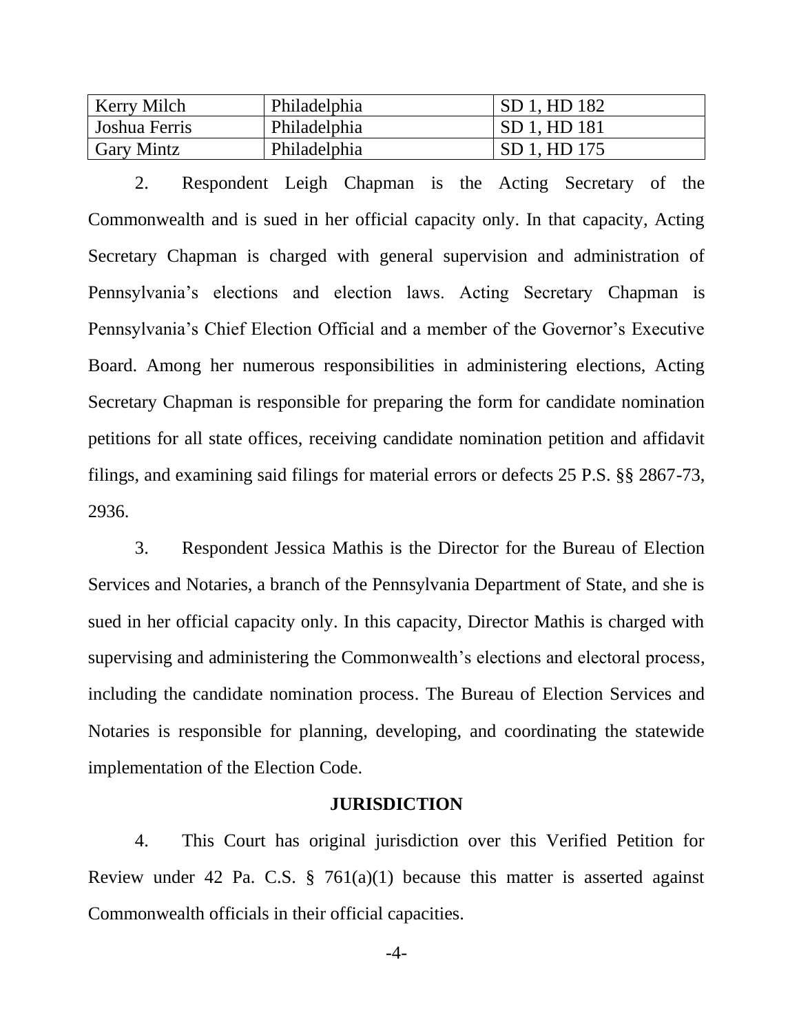| <b>Kerry Milch</b>   | Philadelphia | SD 1, HD 182        |
|----------------------|--------------|---------------------|
| <b>Joshua Ferris</b> | Philadelphia | <b>SD 1, HD 181</b> |
| <b>Gary Mintz</b>    | Philadelphia | SD 1, HD 175        |

2. Respondent Leigh Chapman is the Acting Secretary of the Commonwealth and is sued in her official capacity only. In that capacity, Acting Secretary Chapman is charged with general supervision and administration of Pennsylvania's elections and election laws. Acting Secretary Chapman is Pennsylvania's Chief Election Official and a member of the Governor's Executive Board. Among her numerous responsibilities in administering elections, Acting Secretary Chapman is responsible for preparing the form for candidate nomination petitions for all state offices, receiving candidate nomination petition and affidavit filings, and examining said filings for material errors or defects 25 P.S. §§ 2867-73, 2936.

3. Respondent Jessica Mathis is the Director for the Bureau of Election Services and Notaries, a branch of the Pennsylvania Department of State, and she is sued in her official capacity only. In this capacity, Director Mathis is charged with supervising and administering the Commonwealth's elections and electoral process, including the candidate nomination process. The Bureau of Election Services and Notaries is responsible for planning, developing, and coordinating the statewide implementation of the Election Code.

#### **JURISDICTION**

4. This Court has original jurisdiction over this Verified Petition for Review under 42 Pa. C.S.  $\S$  761(a)(1) because this matter is asserted against Commonwealth officials in their official capacities.

-4-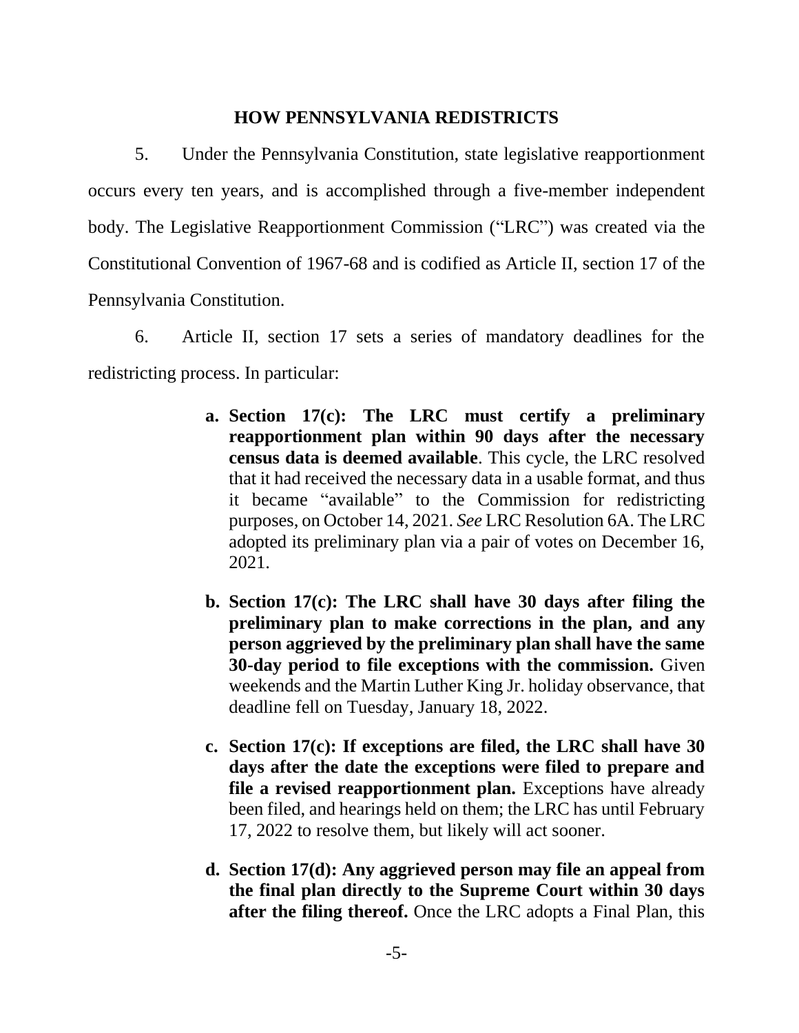### **HOW PENNSYLVANIA REDISTRICTS**

5. Under the Pennsylvania Constitution, state legislative reapportionment occurs every ten years, and is accomplished through a five-member independent body. The Legislative Reapportionment Commission ("LRC") was created via the Constitutional Convention of 1967-68 and is codified as Article II, section 17 of the Pennsylvania Constitution.

6. Article II, section 17 sets a series of mandatory deadlines for the redistricting process. In particular:

- **a. Section 17(c): The LRC must certify a preliminary reapportionment plan within 90 days after the necessary census data is deemed available**. This cycle, the LRC resolved that it had received the necessary data in a usable format, and thus it became "available" to the Commission for redistricting purposes, on October 14, 2021. *See* LRC Resolution 6A. The LRC adopted its preliminary plan via a pair of votes on December 16, 2021.
- **b. Section 17(c): The LRC shall have 30 days after filing the preliminary plan to make corrections in the plan, and any person aggrieved by the preliminary plan shall have the same 30-day period to file exceptions with the commission.** Given weekends and the Martin Luther King Jr. holiday observance, that deadline fell on Tuesday, January 18, 2022.
- **c. Section 17(c): If exceptions are filed, the LRC shall have 30 days after the date the exceptions were filed to prepare and file a revised reapportionment plan.** Exceptions have already been filed, and hearings held on them; the LRC has until February 17, 2022 to resolve them, but likely will act sooner.
- **d. Section 17(d): Any aggrieved person may file an appeal from the final plan directly to the Supreme Court within 30 days after the filing thereof.** Once the LRC adopts a Final Plan, this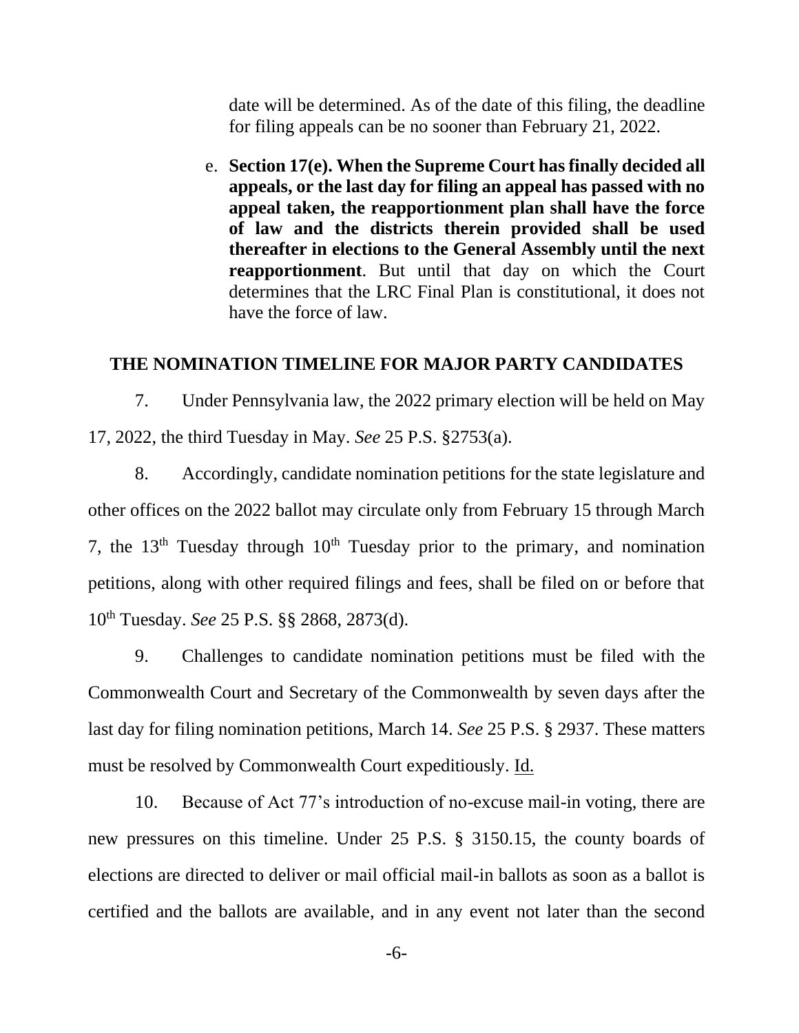date will be determined. As of the date of this filing, the deadline for filing appeals can be no sooner than February 21, 2022.

e. **Section 17(e). When the Supreme Court has finally decided all appeals, or the last day for filing an appeal has passed with no appeal taken, the reapportionment plan shall have the force of law and the districts therein provided shall be used thereafter in elections to the General Assembly until the next reapportionment**. But until that day on which the Court determines that the LRC Final Plan is constitutional, it does not have the force of law.

#### **THE NOMINATION TIMELINE FOR MAJOR PARTY CANDIDATES**

7. Under Pennsylvania law, the 2022 primary election will be held on May 17, 2022, the third Tuesday in May. *See* 25 P.S. §2753(a).

8. Accordingly, candidate nomination petitions for the state legislature and other offices on the 2022 ballot may circulate only from February 15 through March 7, the  $13<sup>th</sup>$  Tuesday through  $10<sup>th</sup>$  Tuesday prior to the primary, and nomination petitions, along with other required filings and fees, shall be filed on or before that 10th Tuesday. *See* 25 P.S. §§ 2868, 2873(d).

9. Challenges to candidate nomination petitions must be filed with the Commonwealth Court and Secretary of the Commonwealth by seven days after the last day for filing nomination petitions, March 14. *See* 25 P.S. § 2937. These matters must be resolved by Commonwealth Court expeditiously. Id.

10. Because of Act 77's introduction of no-excuse mail-in voting, there are new pressures on this timeline. Under 25 P.S. § 3150.15, the county boards of elections are directed to deliver or mail official mail-in ballots as soon as a ballot is certified and the ballots are available, and in any event not later than the second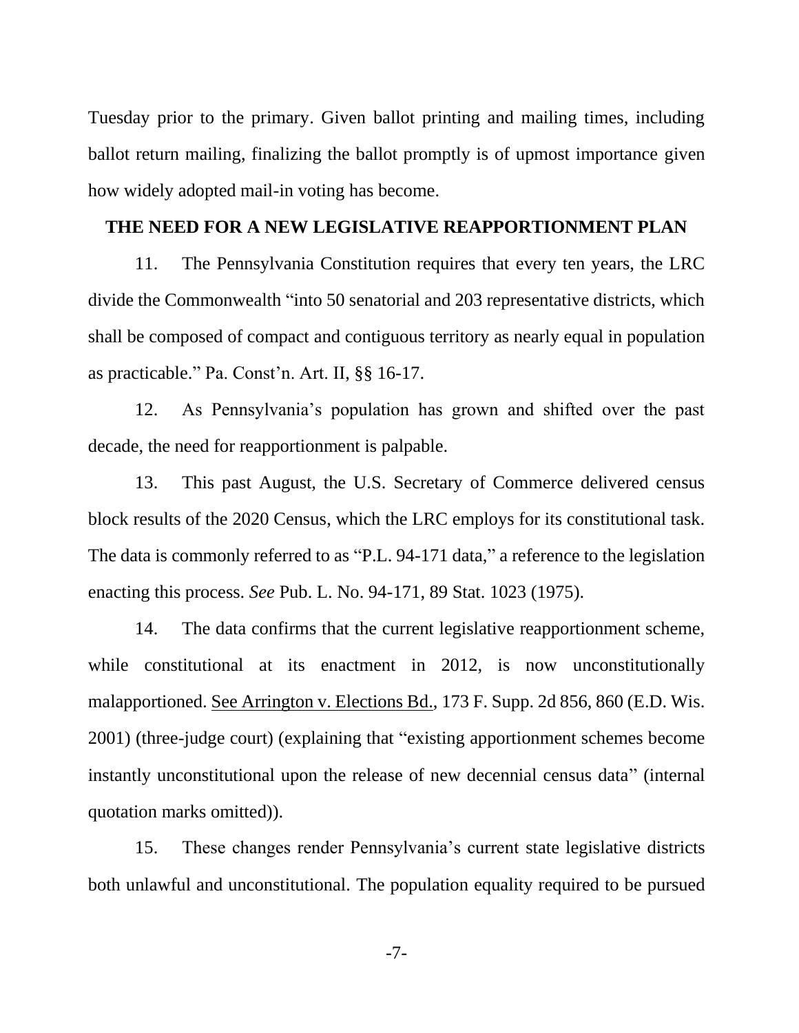Tuesday prior to the primary. Given ballot printing and mailing times, including ballot return mailing, finalizing the ballot promptly is of upmost importance given how widely adopted mail-in voting has become.

#### **THE NEED FOR A NEW LEGISLATIVE REAPPORTIONMENT PLAN**

11. The Pennsylvania Constitution requires that every ten years, the LRC divide the Commonwealth "into 50 senatorial and 203 representative districts, which shall be composed of compact and contiguous territory as nearly equal in population as practicable." Pa. Const'n. Art. II, §§ 16-17.

12. As Pennsylvania's population has grown and shifted over the past decade, the need for reapportionment is palpable.

13. This past August, the U.S. Secretary of Commerce delivered census block results of the 2020 Census, which the LRC employs for its constitutional task. The data is commonly referred to as "P.L. 94-171 data," a reference to the legislation enacting this process. *See* Pub. L. No. 94-171, 89 Stat. 1023 (1975).

14. The data confirms that the current legislative reapportionment scheme, while constitutional at its enactment in 2012, is now unconstitutionally malapportioned. See Arrington v. Elections Bd., 173 F. Supp. 2d 856, 860 (E.D. Wis. 2001) (three-judge court) (explaining that "existing apportionment schemes become instantly unconstitutional upon the release of new decennial census data" (internal quotation marks omitted)).

15. These changes render Pennsylvania's current state legislative districts both unlawful and unconstitutional. The population equality required to be pursued

-7-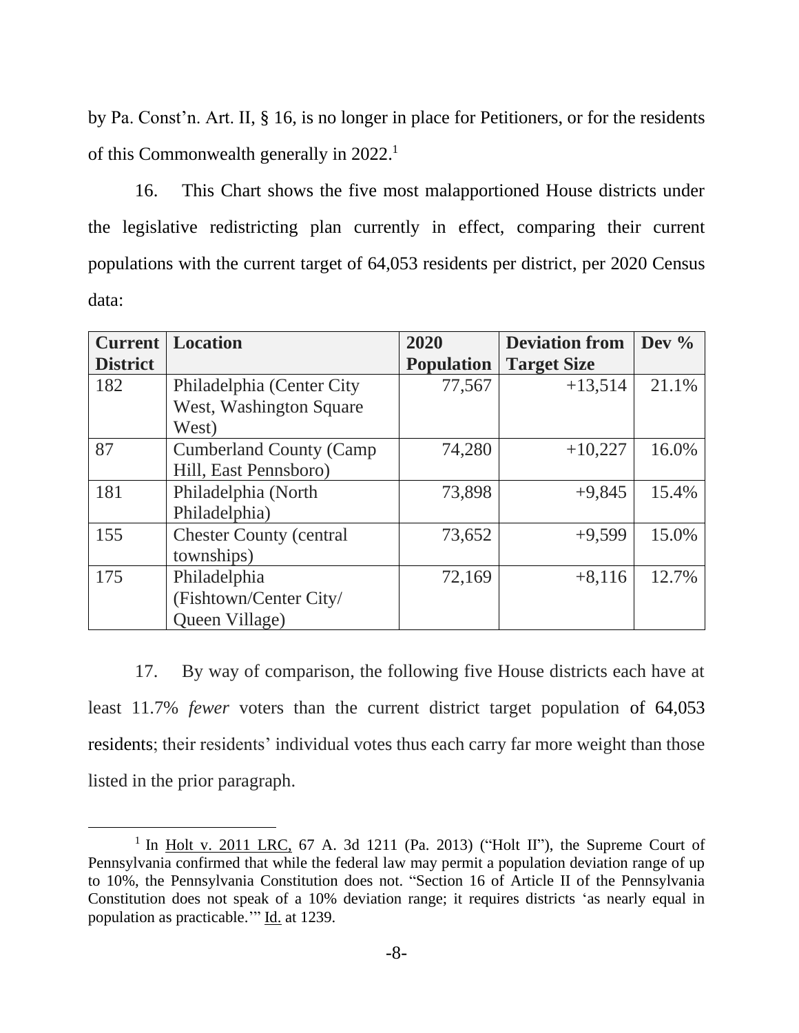by Pa. Const'n. Art. II, § 16, is no longer in place for Petitioners, or for the residents of this Commonwealth generally in 2022.<sup>1</sup>

16. This Chart shows the five most malapportioned House districts under the legislative redistricting plan currently in effect, comparing their current populations with the current target of 64,053 residents per district, per 2020 Census data:

| <b>Current</b>  | <b>Location</b>                 | 2020              | <b>Deviation from</b> | Dev $\%$ |
|-----------------|---------------------------------|-------------------|-----------------------|----------|
| <b>District</b> |                                 | <b>Population</b> | <b>Target Size</b>    |          |
| 182             | Philadelphia (Center City       | 77,567            | $+13,514$             | 21.1%    |
|                 | West, Washington Square         |                   |                       |          |
|                 | West)                           |                   |                       |          |
| 87              | <b>Cumberland County (Camp</b>  | 74,280            | $+10,227$             | 16.0%    |
|                 | Hill, East Pennsboro)           |                   |                       |          |
| 181             | Philadelphia (North             | 73,898            | $+9,845$              | 15.4%    |
|                 | Philadelphia)                   |                   |                       |          |
| 155             | <b>Chester County (central)</b> | 73,652            | $+9,599$              | 15.0%    |
|                 | townships)                      |                   |                       |          |
| 175             | Philadelphia                    | 72,169            | $+8,116$              | 12.7%    |
|                 | (Fishtown/Center City/          |                   |                       |          |
|                 | Queen Village)                  |                   |                       |          |

17. By way of comparison, the following five House districts each have at least 11.7% *fewer* voters than the current district target population of 64,053 residents; their residents' individual votes thus each carry far more weight than those listed in the prior paragraph.

<sup>&</sup>lt;sup>1</sup> In Holt v. 2011 LRC, 67 A. 3d 1211 (Pa. 2013) ("Holt II"), the Supreme Court of Pennsylvania confirmed that while the federal law may permit a population deviation range of up to 10%, the Pennsylvania Constitution does not. "Section 16 of Article II of the Pennsylvania Constitution does not speak of a 10% deviation range; it requires districts 'as nearly equal in population as practicable." Id. at 1239.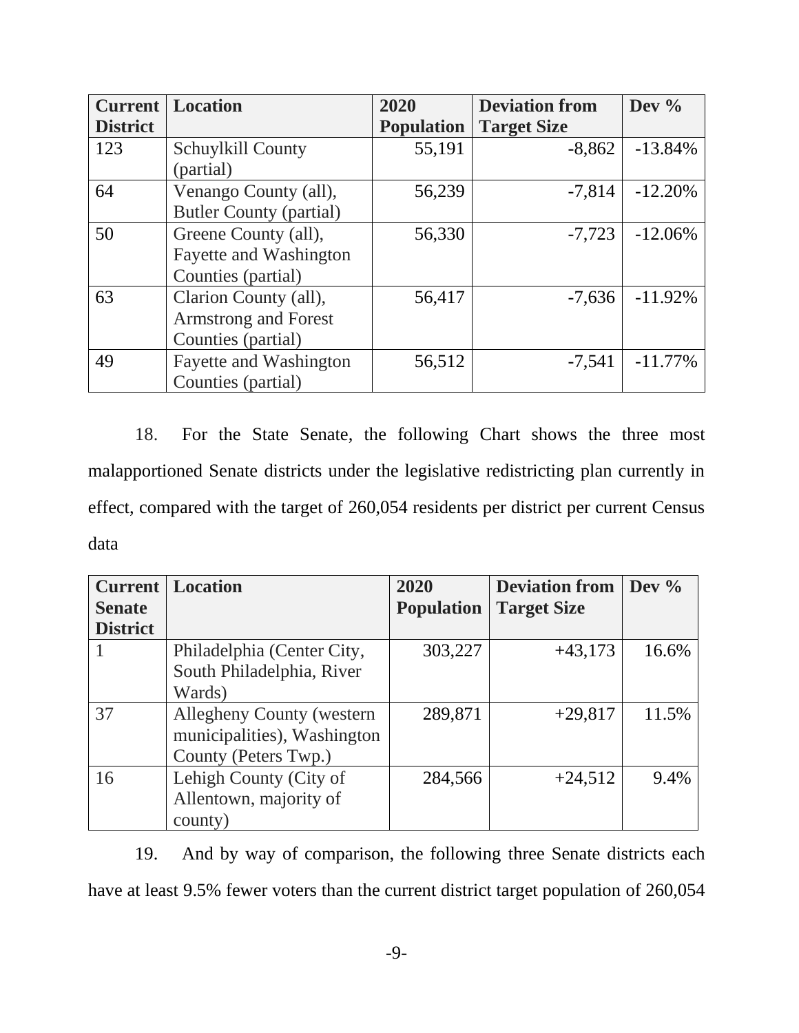| <b>Current</b>  | <b>Location</b>                | 2020              | <b>Deviation from</b> | Dev $%$    |
|-----------------|--------------------------------|-------------------|-----------------------|------------|
| <b>District</b> |                                | <b>Population</b> | <b>Target Size</b>    |            |
| 123             | Schuylkill County              | 55,191            | $-8,862$              | $-13.84%$  |
|                 | (partial)                      |                   |                       |            |
| 64              | Venango County (all),          | 56,239            | $-7,814$              | $-12.20%$  |
|                 | <b>Butler County (partial)</b> |                   |                       |            |
| 50              | Greene County (all),           | 56,330            | $-7,723$              | $-12.06\%$ |
|                 | Fayette and Washington         |                   |                       |            |
|                 | Counties (partial)             |                   |                       |            |
| 63              | Clarion County (all),          | 56,417            | $-7,636$              | $-11.92%$  |
|                 | <b>Armstrong and Forest</b>    |                   |                       |            |
|                 | Counties (partial)             |                   |                       |            |
| 49              | Fayette and Washington         | 56,512            | $-7,541$              | $-11.77\%$ |
|                 | Counties (partial)             |                   |                       |            |

18. For the State Senate, the following Chart shows the three most malapportioned Senate districts under the legislative redistricting plan currently in effect, compared with the target of 260,054 residents per district per current Census data

| <b>Current</b>  | <b>Location</b>                   | 2020              | <b>Deviation from</b> | $\log \frac{9}{6}$ |
|-----------------|-----------------------------------|-------------------|-----------------------|--------------------|
| <b>Senate</b>   |                                   | <b>Population</b> | <b>Target Size</b>    |                    |
| <b>District</b> |                                   |                   |                       |                    |
|                 | Philadelphia (Center City,        | 303,227           | $+43,173$             | 16.6%              |
|                 | South Philadelphia, River         |                   |                       |                    |
|                 | Wards)                            |                   |                       |                    |
| 37              | <b>Allegheny County (western)</b> | 289,871           | $+29,817$             | 11.5%              |
|                 | municipalities), Washington       |                   |                       |                    |
|                 | County (Peters Twp.)              |                   |                       |                    |
| 16              | Lehigh County (City of            | 284,566           | $+24,512$             | 9.4%               |
|                 | Allentown, majority of            |                   |                       |                    |
|                 | county)                           |                   |                       |                    |

19. And by way of comparison, the following three Senate districts each have at least 9.5% fewer voters than the current district target population of 260,054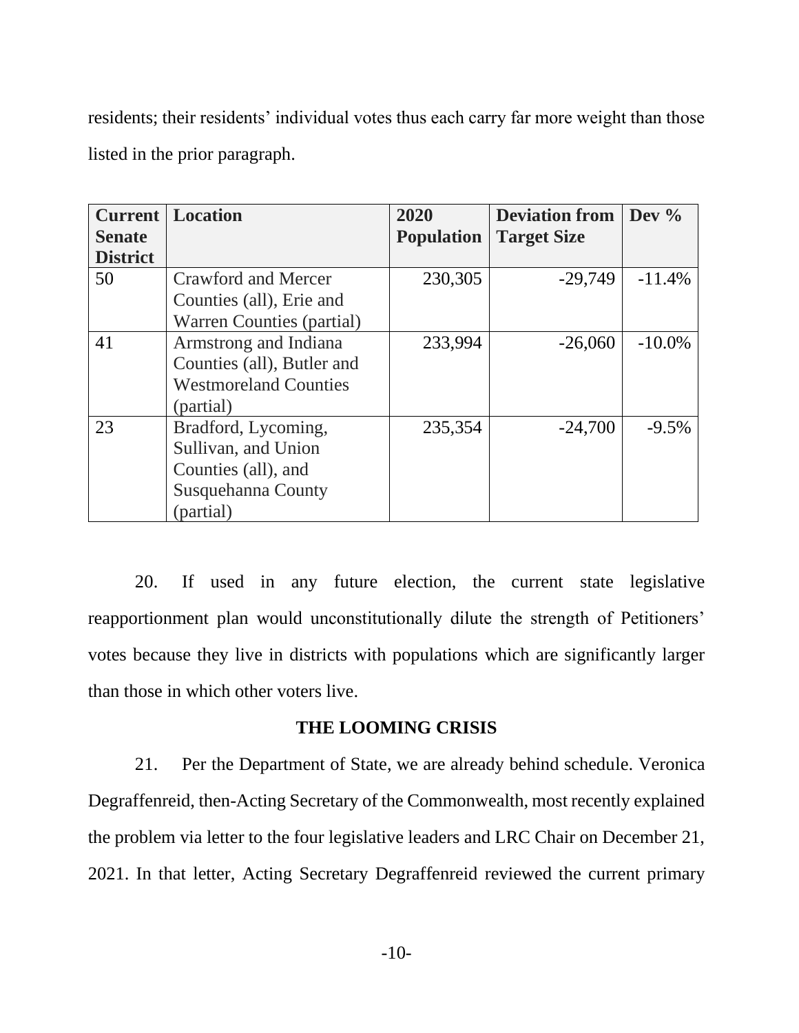residents; their residents' individual votes thus each carry far more weight than those listed in the prior paragraph.

| <b>Current</b><br><b>Senate</b><br><b>District</b> | Location                                                                                             | 2020<br><b>Population</b> | <b>Deviation from</b><br><b>Target Size</b> | Dev $\%$  |
|----------------------------------------------------|------------------------------------------------------------------------------------------------------|---------------------------|---------------------------------------------|-----------|
| 50                                                 | Crawford and Mercer<br>Counties (all), Erie and<br>Warren Counties (partial)                         | 230,305                   | $-29,749$                                   | $-11.4%$  |
| 41                                                 | Armstrong and Indiana<br>Counties (all), Butler and<br><b>Westmoreland Counties</b><br>(partial)     | 233,994                   | $-26,060$                                   | $-10.0\%$ |
| 23                                                 | Bradford, Lycoming,<br>Sullivan, and Union<br>Counties (all), and<br>Susquehanna County<br>(partial) | 235,354                   | $-24,700$                                   | $-9.5%$   |

20. If used in any future election, the current state legislative reapportionment plan would unconstitutionally dilute the strength of Petitioners' votes because they live in districts with populations which are significantly larger than those in which other voters live.

#### **THE LOOMING CRISIS**

21. Per the Department of State, we are already behind schedule. Veronica Degraffenreid, then-Acting Secretary of the Commonwealth, most recently explained the problem via letter to the four legislative leaders and LRC Chair on December 21, 2021. In that letter, Acting Secretary Degraffenreid reviewed the current primary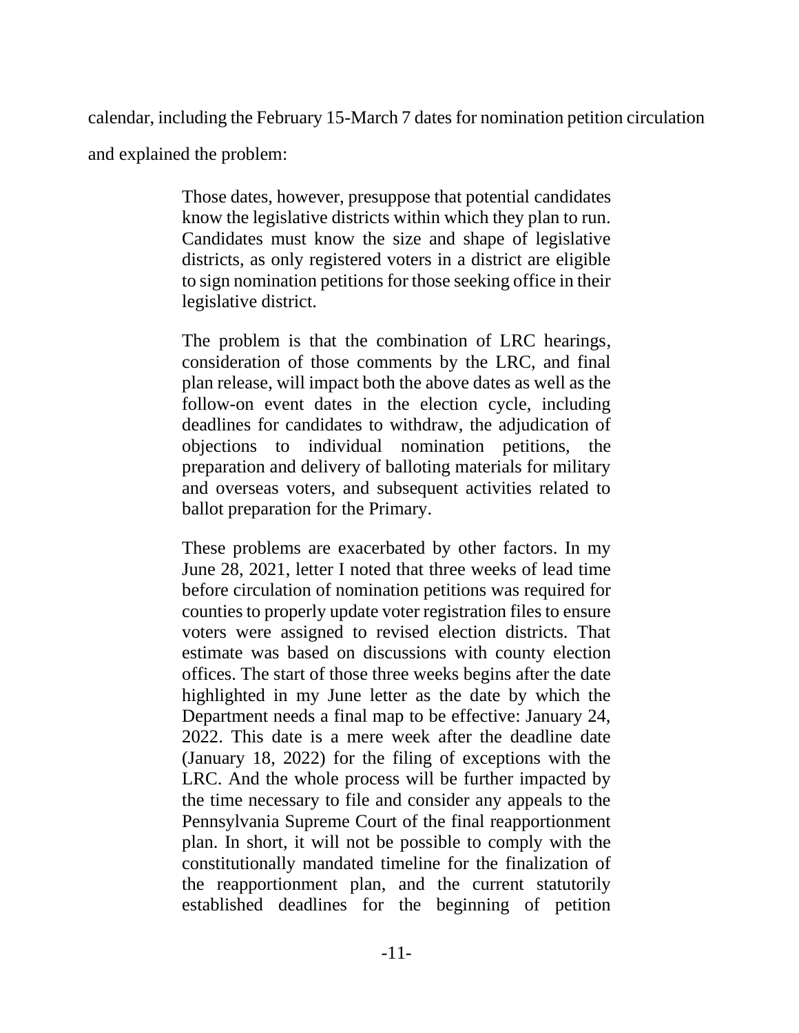calendar, including the February 15-March 7 dates for nomination petition circulation

and explained the problem:

Those dates, however, presuppose that potential candidates know the legislative districts within which they plan to run. Candidates must know the size and shape of legislative districts, as only registered voters in a district are eligible to sign nomination petitions for those seeking office in their legislative district.

The problem is that the combination of LRC hearings, consideration of those comments by the LRC, and final plan release, will impact both the above dates as well as the follow-on event dates in the election cycle, including deadlines for candidates to withdraw, the adjudication of objections to individual nomination petitions, the preparation and delivery of balloting materials for military and overseas voters, and subsequent activities related to ballot preparation for the Primary.

These problems are exacerbated by other factors. In my June 28, 2021, letter I noted that three weeks of lead time before circulation of nomination petitions was required for counties to properly update voter registration files to ensure voters were assigned to revised election districts. That estimate was based on discussions with county election offices. The start of those three weeks begins after the date highlighted in my June letter as the date by which the Department needs a final map to be effective: January 24, 2022. This date is a mere week after the deadline date (January 18, 2022) for the filing of exceptions with the LRC. And the whole process will be further impacted by the time necessary to file and consider any appeals to the Pennsylvania Supreme Court of the final reapportionment plan. In short, it will not be possible to comply with the constitutionally mandated timeline for the finalization of the reapportionment plan, and the current statutorily established deadlines for the beginning of petition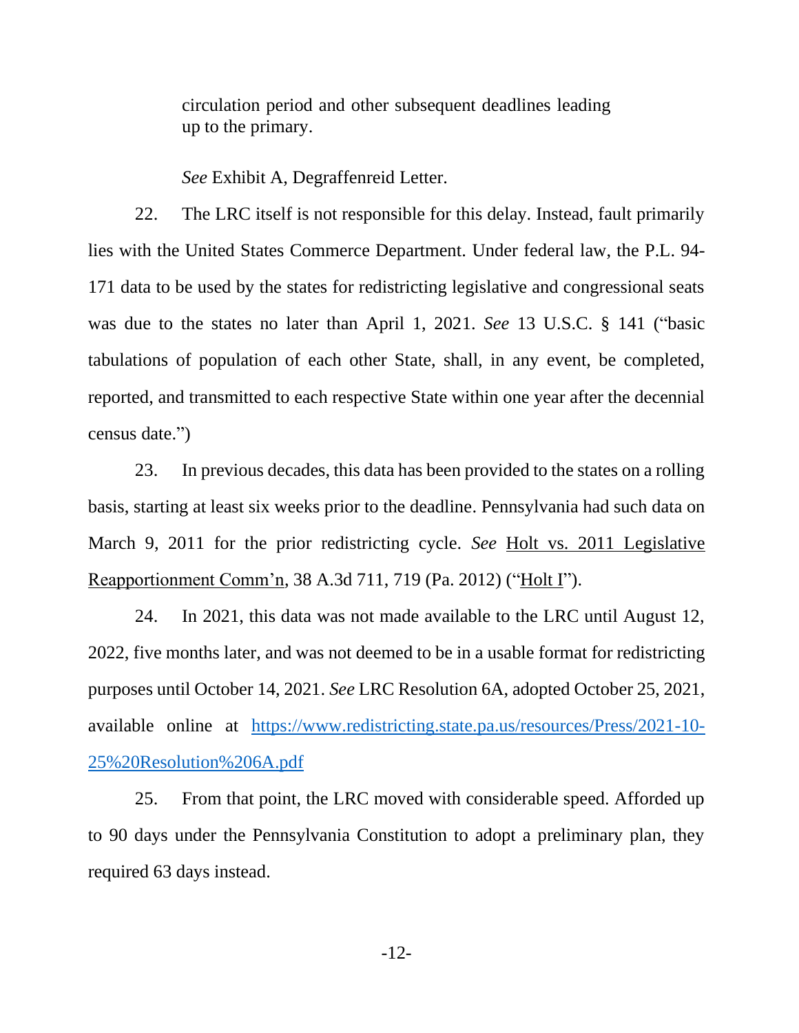circulation period and other subsequent deadlines leading up to the primary.

*See* Exhibit A, Degraffenreid Letter.

22. The LRC itself is not responsible for this delay. Instead, fault primarily lies with the United States Commerce Department. Under federal law, the P.L. 94- 171 data to be used by the states for redistricting legislative and congressional seats was due to the states no later than April 1, 2021. *See* 13 U.S.C. § 141 ("basic tabulations of population of each other State, shall, in any event, be completed, reported, and transmitted to each respective State within one year after the decennial census date.")

23. In previous decades, this data has been provided to the states on a rolling basis, starting at least six weeks prior to the deadline. Pennsylvania had such data on March 9, 2011 for the prior redistricting cycle. *See* Holt vs. 2011 Legislative Reapportionment Comm'n, 38 A.3d 711, 719 (Pa. 2012) ("Holt I").

24. In 2021, this data was not made available to the LRC until August 12, 2022, five months later, and was not deemed to be in a usable format for redistricting purposes until October 14, 2021. *See* LRC Resolution 6A, adopted October 25, 2021, available online at [https://www.redistricting.state.pa.us/resources/Press/2021-10-](https://www.redistricting.state.pa.us/resources/Press/2021-10-25%20Resolution%206A.pdf) [25%20Resolution%206A.pdf](https://www.redistricting.state.pa.us/resources/Press/2021-10-25%20Resolution%206A.pdf)

25. From that point, the LRC moved with considerable speed. Afforded up to 90 days under the Pennsylvania Constitution to adopt a preliminary plan, they required 63 days instead.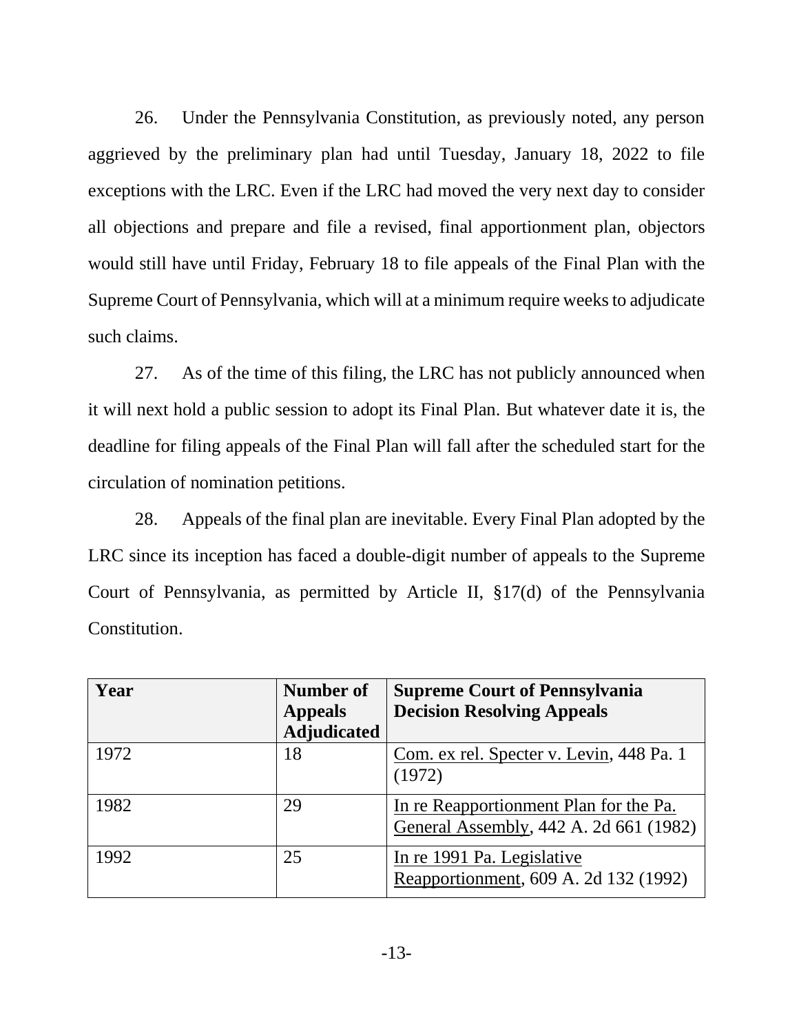26. Under the Pennsylvania Constitution, as previously noted, any person aggrieved by the preliminary plan had until Tuesday, January 18, 2022 to file exceptions with the LRC. Even if the LRC had moved the very next day to consider all objections and prepare and file a revised, final apportionment plan, objectors would still have until Friday, February 18 to file appeals of the Final Plan with the Supreme Court of Pennsylvania, which will at a minimum require weeks to adjudicate such claims.

27. As of the time of this filing, the LRC has not publicly announced when it will next hold a public session to adopt its Final Plan. But whatever date it is, the deadline for filing appeals of the Final Plan will fall after the scheduled start for the circulation of nomination petitions.

28. Appeals of the final plan are inevitable. Every Final Plan adopted by the LRC since its inception has faced a double-digit number of appeals to the Supreme Court of Pennsylvania, as permitted by Article II, §17(d) of the Pennsylvania Constitution.

| Year | Number of          | <b>Supreme Court of Pennsylvania</b>     |
|------|--------------------|------------------------------------------|
|      | <b>Appeals</b>     | <b>Decision Resolving Appeals</b>        |
|      | <b>Adjudicated</b> |                                          |
| 1972 | 18                 | Com. ex rel. Specter v. Levin, 448 Pa. 1 |
|      |                    | (1972)                                   |
| 1982 | 29                 | In re Reapportionment Plan for the Pa.   |
|      |                    | General Assembly, 442 A. 2d 661 (1982)   |
| 1992 | 25                 | In re 1991 Pa. Legislative               |
|      |                    | Reapportionment, 609 A. 2d 132 (1992)    |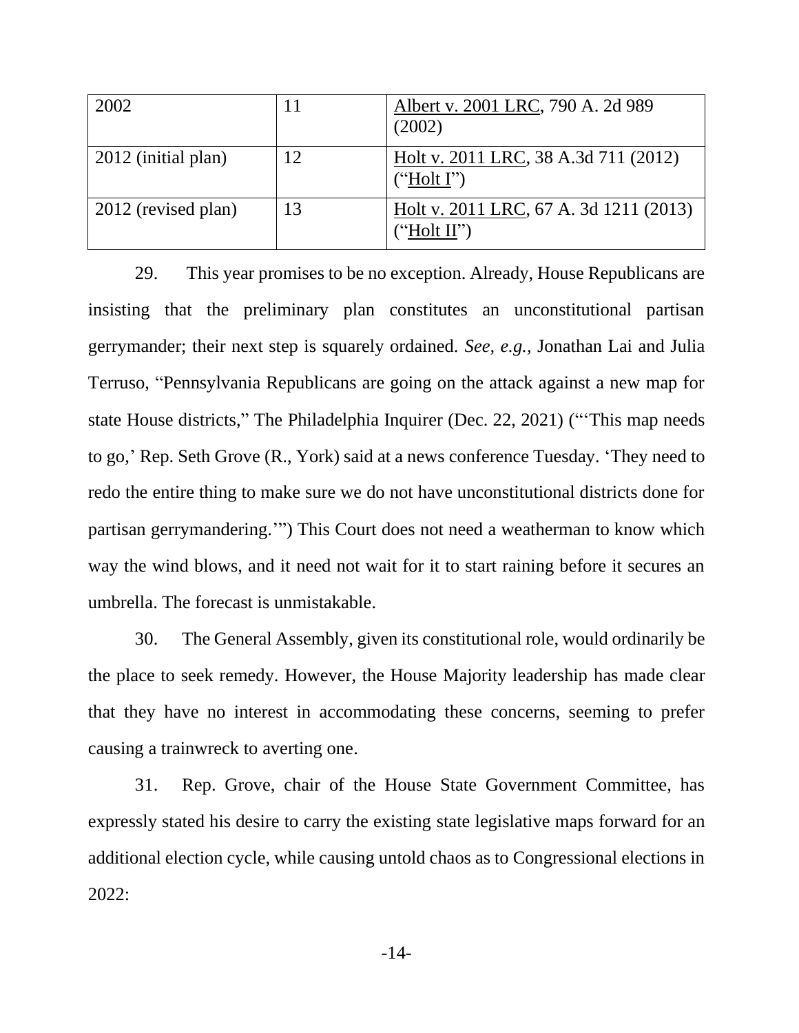| 2002                | 11 | Albert v. 2001 LRC, 790 A. 2d 989<br>(2002)           |
|---------------------|----|-------------------------------------------------------|
| 2012 (initial plan) | 12 | Holt v. 2011 LRC, 38 A.3d 711 (2012)<br>("Holt I")    |
| 2012 (revised plan) | 13 | Holt v. 2011 LRC, 67 A. 3d 1211 (2013)<br>("Holt II") |

29. This year promises to be no exception. Already, House Republicans are insisting that the preliminary plan constitutes an unconstitutional partisan gerrymander; their next step is squarely ordained. *See, e.g.,* Jonathan Lai and Julia Terruso, "Pennsylvania Republicans are going on the attack against a new map for state House districts," The Philadelphia Inquirer (Dec. 22, 2021) ("'This map needs to go,' Rep. Seth Grove (R., York) said at a news conference Tuesday. 'They need to redo the entire thing to make sure we do not have unconstitutional districts done for partisan gerrymandering.'") This Court does not need a weatherman to know which way the wind blows, and it need not wait for it to start raining before it secures an umbrella. The forecast is unmistakable.

30. The General Assembly, given its constitutional role, would ordinarily be the place to seek remedy. However, the House Majority leadership has made clear that they have no interest in accommodating these concerns, seeming to prefer causing a trainwreck to averting one.

31. Rep. Grove, chair of the House State Government Committee, has expressly stated his desire to carry the existing state legislative maps forward for an additional election cycle, while causing untold chaos as to Congressional elections in 2022: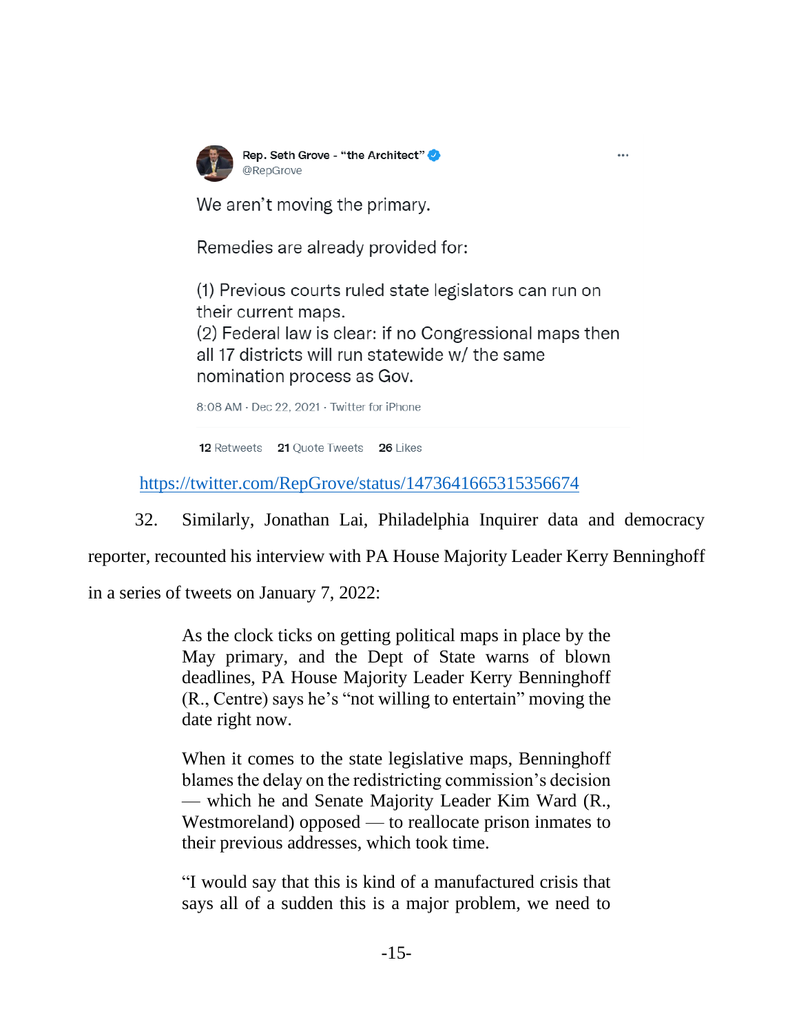

Rep. Seth Grove - "the Architect" @RepGrove

We aren't moving the primary.

Remedies are already provided for:

(1) Previous courts ruled state legislators can run on their current maps.

 $\cdots$ 

(2) Federal law is clear: if no Congressional maps then all 17 districts will run statewide w/ the same nomination process as Gov.

8:08 AM · Dec 22, 2021 · Twitter for iPhone

12 Retweets 21 Quote Tweets 26 Likes

<https://twitter.com/RepGrove/status/1473641665315356674>

32. Similarly, Jonathan Lai, Philadelphia Inquirer data and democracy

reporter, recounted his interview with PA House Majority Leader Kerry Benninghoff

in a series of tweets on January 7, 2022:

As the clock ticks on getting political maps in place by the May primary, and the Dept of State warns of blown deadlines, PA House Majority Leader Kerry Benninghoff (R., Centre) says he's "not willing to entertain" moving the date right now.

When it comes to the state legislative maps, Benninghoff blames the delay on the redistricting commission's decision — which he and Senate Majority Leader Kim Ward (R., Westmoreland) opposed — to reallocate prison inmates to their previous addresses, which took time.

"I would say that this is kind of a manufactured crisis that says all of a sudden this is a major problem, we need to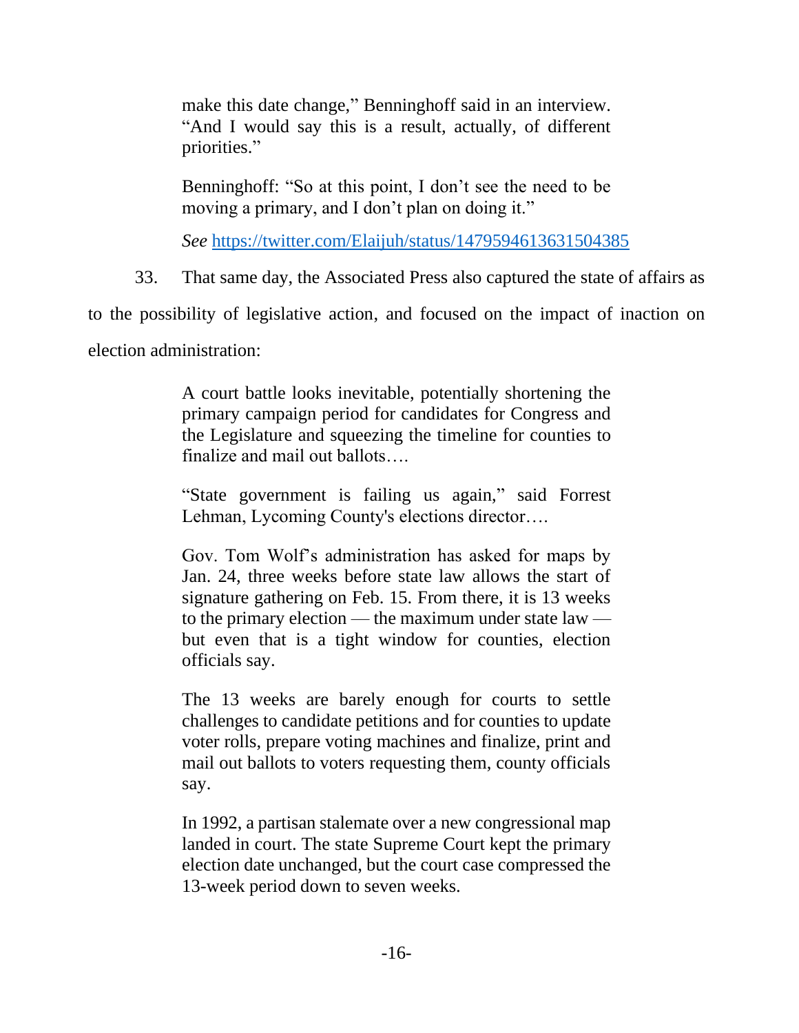make this date change," Benninghoff said in an interview. "And I would say this is a result, actually, of different priorities."

Benninghoff: "So at this point, I don't see the need to be moving a primary, and I don't plan on doing it."

*See* <https://twitter.com/Elaijuh/status/1479594613631504385>

33. That same day, the Associated Press also captured the state of affairs as

to the possibility of legislative action, and focused on the impact of inaction on

election administration:

A court battle looks inevitable, potentially shortening the primary campaign period for candidates for Congress and the Legislature and squeezing the timeline for counties to finalize and mail out ballots….

"State government is failing us again," said Forrest Lehman, Lycoming County's elections director….

Gov. Tom Wolf's administration has asked for maps by Jan. 24, three weeks before state law allows the start of signature gathering on Feb. 15. From there, it is 13 weeks to the primary election — the maximum under state law but even that is a tight window for counties, election officials say.

The 13 weeks are barely enough for courts to settle challenges to candidate petitions and for counties to update voter rolls, prepare voting machines and finalize, print and mail out ballots to voters requesting them, county officials say.

In 1992, a partisan stalemate over a new congressional map landed in court. The state Supreme Court kept the primary election date unchanged, but the court case compressed the 13-week period down to seven weeks.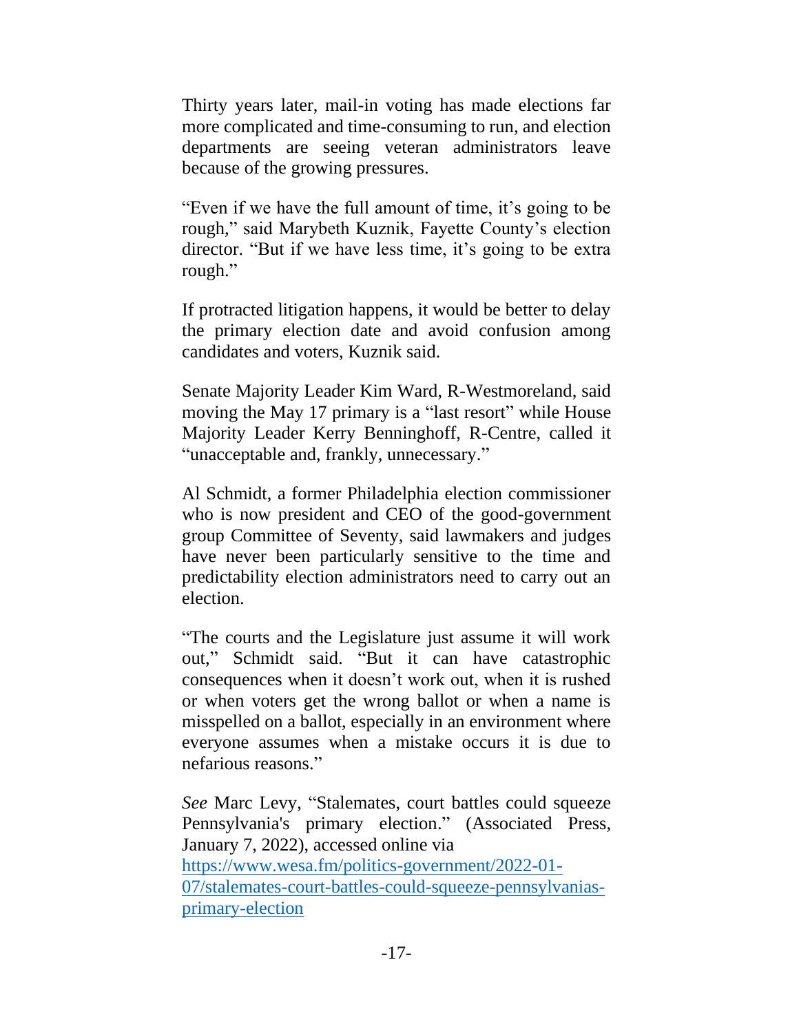Thirty years later, mail-in voting has made elections far more complicated and time-consuming to run, and election departments are seeing veteran administrators leave because of the growing pressures.

"Even if we have the full amount of time, it's going to be rough," said Marybeth Kuznik, Fayette County's election director. "But if we have less time, it's going to be extra rough."

If protracted litigation happens, it would be better to delay the primary election date and avoid confusion among candidates and voters, Kuznik said.

Senate Majority Leader Kim Ward, R-Westmoreland, said moving the May 17 primary is a "last resort" while House Majority Leader Kerry Benninghoff, R-Centre, called it "unacceptable and, frankly, unnecessary."

Al Schmidt, a former Philadelphia election commissioner who is now president and CEO of the good-government group Committee of Seventy, said lawmakers and judges have never been particularly sensitive to the time and predictability election administrators need to carry out an election.

"The courts and the Legislature just assume it will work out," Schmidt said. "But it can have catastrophic consequences when it doesn't work out, when it is rushed or when voters get the wrong ballot or when a name is misspelled on a ballot, especially in an environment where everyone assumes when a mistake occurs it is due to nefarious reasons."

*See* Marc Levy, "Stalemates, court battles could squeeze Pennsylvania's primary election." (Associated Press, January 7, 2022), accessed online via [https://www.wesa.fm/politics-government/2022-01-](https://www.wesa.fm/politics-government/2022-01-07/stalemates-court-battles-could-squeeze-pennsylvanias-primary-election) [07/stalemates-court-battles-could-squeeze-pennsylvanias](https://www.wesa.fm/politics-government/2022-01-07/stalemates-court-battles-could-squeeze-pennsylvanias-primary-election)[primary-election](https://www.wesa.fm/politics-government/2022-01-07/stalemates-court-battles-could-squeeze-pennsylvanias-primary-election)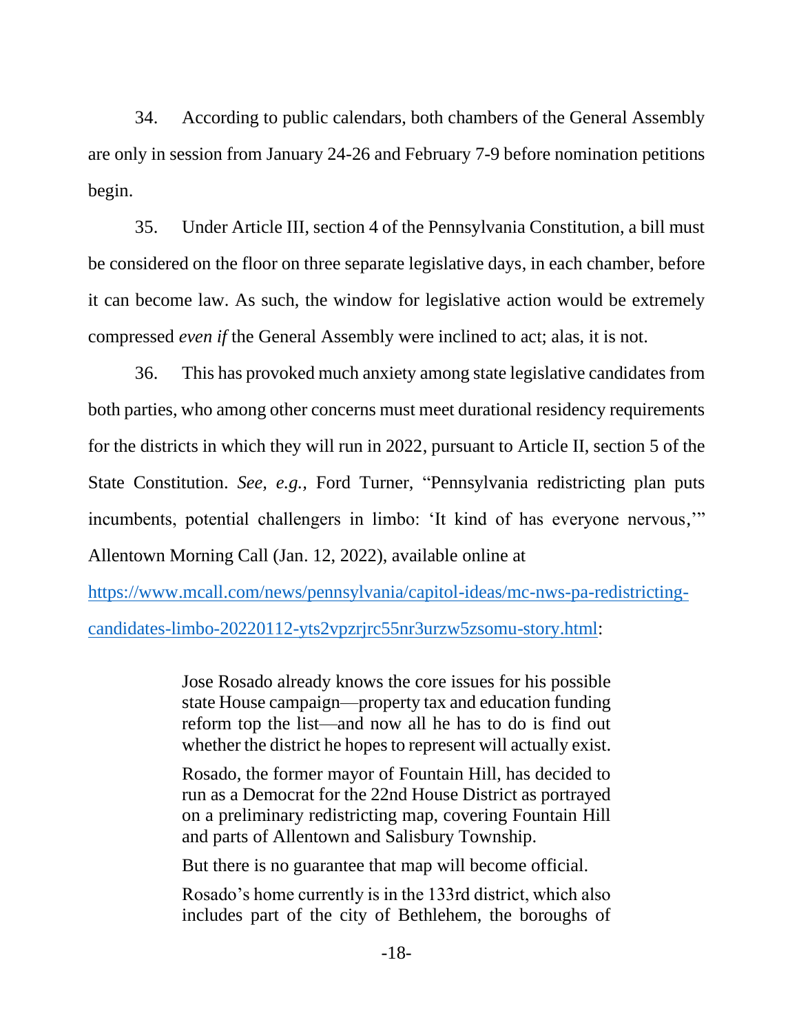34. According to public calendars, both chambers of the General Assembly are only in session from January 24-26 and February 7-9 before nomination petitions begin.

35. Under Article III, section 4 of the Pennsylvania Constitution, a bill must be considered on the floor on three separate legislative days, in each chamber, before it can become law. As such, the window for legislative action would be extremely compressed *even if* the General Assembly were inclined to act; alas, it is not.

36. This has provoked much anxiety among state legislative candidates from both parties, who among other concerns must meet durational residency requirements for the districts in which they will run in 2022, pursuant to Article II, section 5 of the State Constitution. *See, e.g.,* Ford Turner, "Pennsylvania redistricting plan puts incumbents, potential challengers in limbo: 'It kind of has everyone nervous,'" Allentown Morning Call (Jan. 12, 2022), available online at

[https://www.mcall.com/news/pennsylvania/capitol-ideas/mc-nws-pa-redistricting](https://www.mcall.com/news/pennsylvania/capitol-ideas/mc-nws-pa-redistricting-candidates-limbo-20220112-yts2vpzrjrc55nr3urzw5zsomu-story.html)[candidates-limbo-20220112-yts2vpzrjrc55nr3urzw5zsomu-story.html:](https://www.mcall.com/news/pennsylvania/capitol-ideas/mc-nws-pa-redistricting-candidates-limbo-20220112-yts2vpzrjrc55nr3urzw5zsomu-story.html)

> Jose Rosado already knows the core issues for his possible state House campaign—property tax and education funding reform top the list—and now all he has to do is find out whether the district he hopes to represent will actually exist.

> Rosado, the former mayor of Fountain Hill, has decided to run as a Democrat for the 22nd House District as portrayed on a preliminary redistricting map, covering Fountain Hill and parts of Allentown and Salisbury Township.

But there is no guarantee that map will become official.

Rosado's home currently is in the 133rd district, which also includes part of the city of Bethlehem, the boroughs of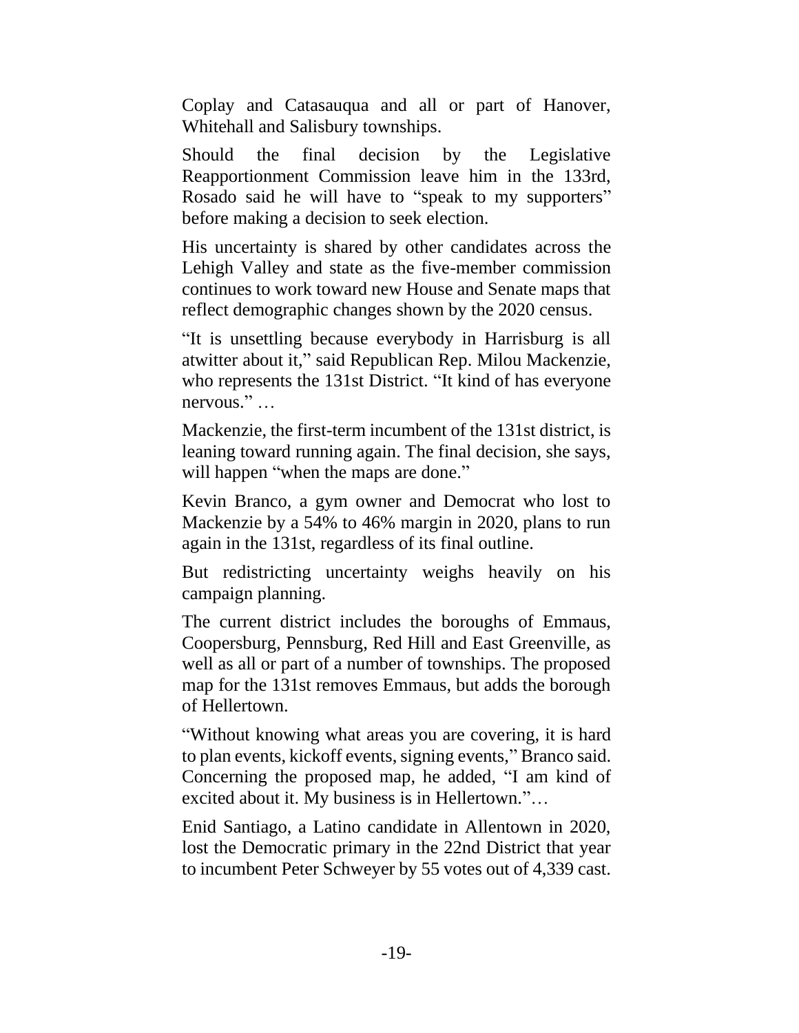Coplay and Catasauqua and all or part of Hanover, Whitehall and Salisbury townships.

Should the final decision by the Legislative Reapportionment Commission leave him in the 133rd, Rosado said he will have to "speak to my supporters" before making a decision to seek election.

His uncertainty is shared by other candidates across the Lehigh Valley and state as the five-member commission continues to work toward new House and Senate maps that reflect demographic changes shown by the 2020 census.

"It is unsettling because everybody in Harrisburg is all atwitter about it," said Republican Rep. Milou Mackenzie, who represents the 131st District. "It kind of has everyone nervous." …

Mackenzie, the first-term incumbent of the 131st district, is leaning toward running again. The final decision, she says, will happen "when the maps are done."

Kevin Branco, a gym owner and Democrat who lost to Mackenzie by a 54% to 46% margin in 2020, plans to run again in the 131st, regardless of its final outline.

But redistricting uncertainty weighs heavily on his campaign planning.

The current district includes the boroughs of Emmaus, Coopersburg, Pennsburg, Red Hill and East Greenville, as well as all or part of a number of townships. The proposed map for the 131st removes Emmaus, but adds the borough of Hellertown.

"Without knowing what areas you are covering, it is hard to plan events, kickoff events, signing events," Branco said. Concerning the proposed map, he added, "I am kind of excited about it. My business is in Hellertown."…

Enid Santiago, a Latino candidate in Allentown in 2020, lost the Democratic primary in the 22nd District that year to incumbent Peter Schweyer by 55 votes out of 4,339 cast.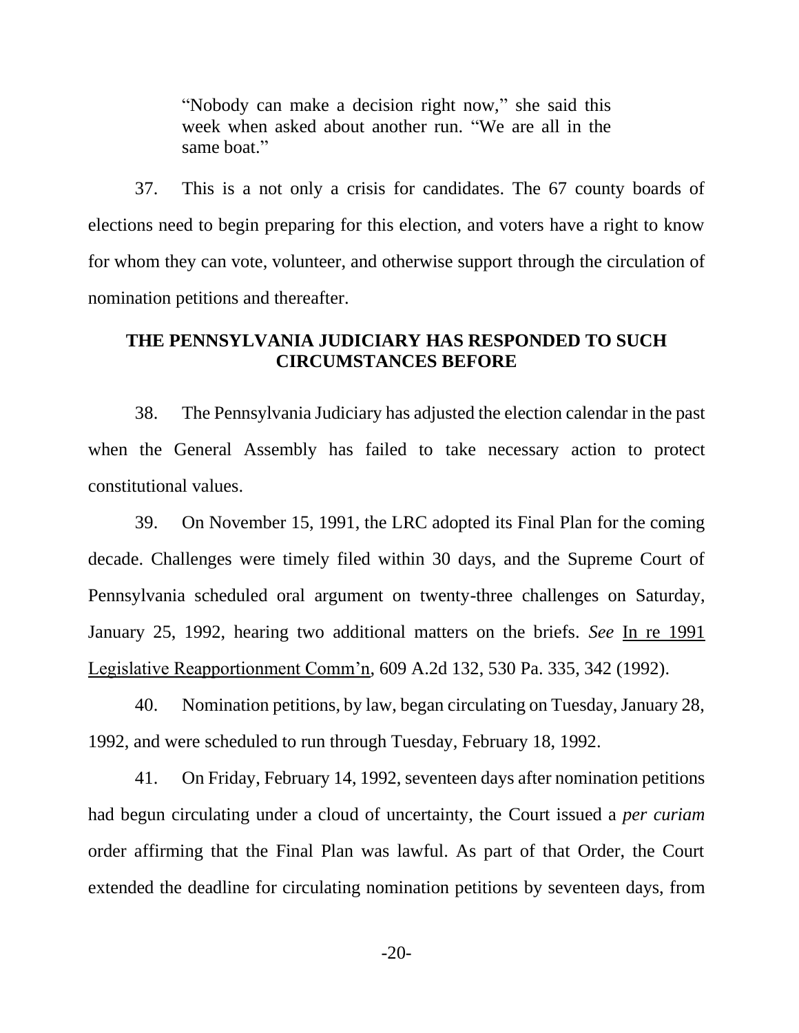"Nobody can make a decision right now," she said this week when asked about another run. "We are all in the same boat."

37. This is a not only a crisis for candidates. The 67 county boards of elections need to begin preparing for this election, and voters have a right to know for whom they can vote, volunteer, and otherwise support through the circulation of nomination petitions and thereafter.

## **THE PENNSYLVANIA JUDICIARY HAS RESPONDED TO SUCH CIRCUMSTANCES BEFORE**

38. The Pennsylvania Judiciary has adjusted the election calendar in the past when the General Assembly has failed to take necessary action to protect constitutional values.

39. On November 15, 1991, the LRC adopted its Final Plan for the coming decade. Challenges were timely filed within 30 days, and the Supreme Court of Pennsylvania scheduled oral argument on twenty-three challenges on Saturday, January 25, 1992, hearing two additional matters on the briefs. *See* In re 1991 Legislative Reapportionment Comm'n, 609 A.2d 132, 530 Pa. 335, 342 (1992).

40. Nomination petitions, by law, began circulating on Tuesday, January 28, 1992, and were scheduled to run through Tuesday, February 18, 1992.

41. On Friday, February 14, 1992, seventeen days after nomination petitions had begun circulating under a cloud of uncertainty, the Court issued a *per curiam* order affirming that the Final Plan was lawful. As part of that Order, the Court extended the deadline for circulating nomination petitions by seventeen days, from

 $-20-$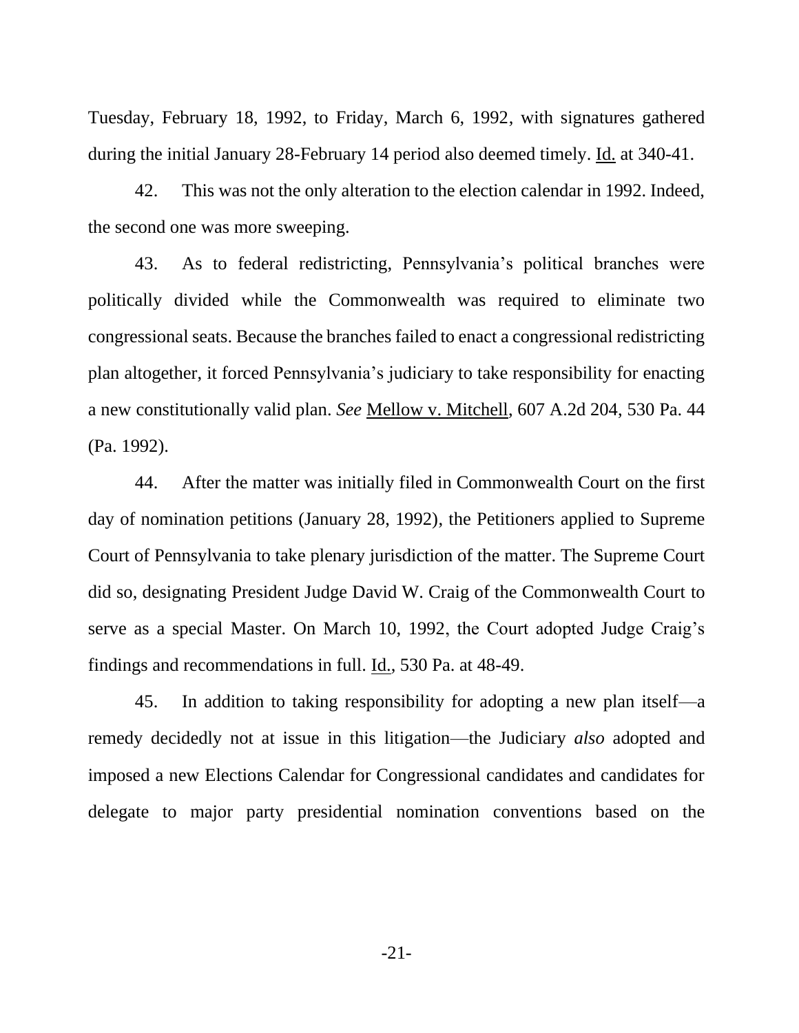Tuesday, February 18, 1992, to Friday, March 6, 1992, with signatures gathered during the initial January 28-February 14 period also deemed timely. Id. at 340-41.

42. This was not the only alteration to the election calendar in 1992. Indeed, the second one was more sweeping.

43. As to federal redistricting, Pennsylvania's political branches were politically divided while the Commonwealth was required to eliminate two congressional seats. Because the branches failed to enact a congressional redistricting plan altogether, it forced Pennsylvania's judiciary to take responsibility for enacting a new constitutionally valid plan. *See* Mellow v. Mitchell, 607 A.2d 204, 530 Pa. 44 (Pa. 1992).

44. After the matter was initially filed in Commonwealth Court on the first day of nomination petitions (January 28, 1992), the Petitioners applied to Supreme Court of Pennsylvania to take plenary jurisdiction of the matter. The Supreme Court did so, designating President Judge David W. Craig of the Commonwealth Court to serve as a special Master. On March 10, 1992, the Court adopted Judge Craig's findings and recommendations in full. Id., 530 Pa. at 48-49.

45. In addition to taking responsibility for adopting a new plan itself—a remedy decidedly not at issue in this litigation—the Judiciary *also* adopted and imposed a new Elections Calendar for Congressional candidates and candidates for delegate to major party presidential nomination conventions based on the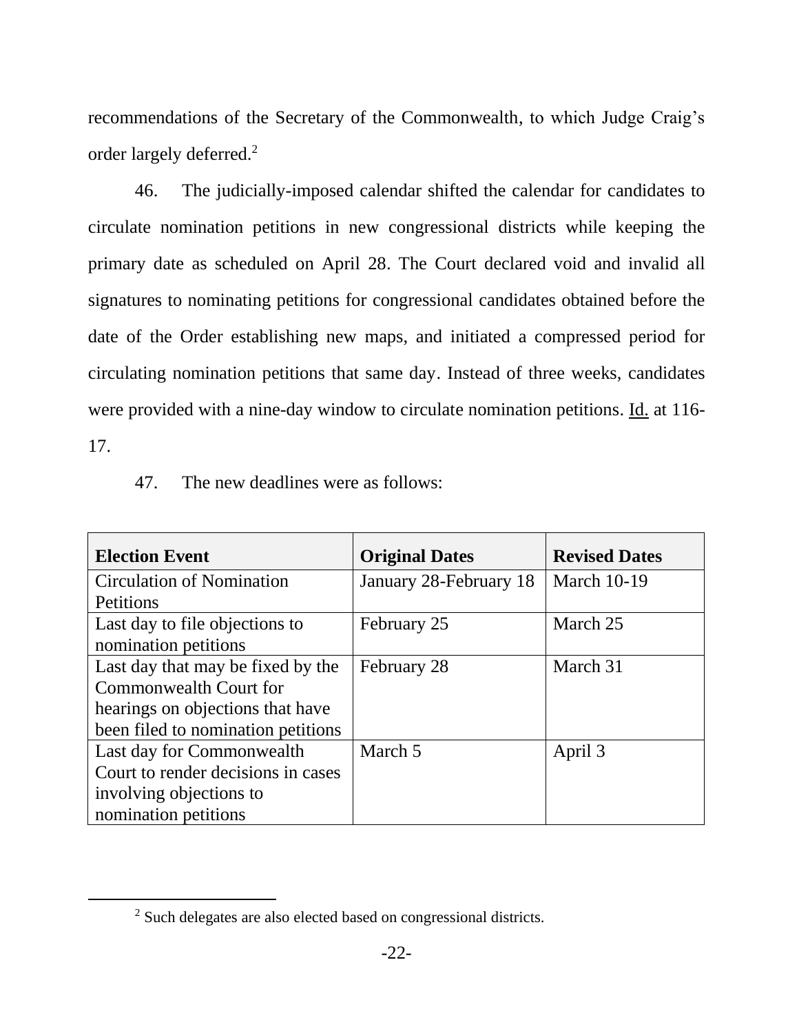recommendations of the Secretary of the Commonwealth, to which Judge Craig's order largely deferred.<sup>2</sup>

46. The judicially-imposed calendar shifted the calendar for candidates to circulate nomination petitions in new congressional districts while keeping the primary date as scheduled on April 28. The Court declared void and invalid all signatures to nominating petitions for congressional candidates obtained before the date of the Order establishing new maps, and initiated a compressed period for circulating nomination petitions that same day. Instead of three weeks, candidates were provided with a nine-day window to circulate nomination petitions. Id. at 116- 17.

## 47. The new deadlines were as follows:

| <b>Election Event</b>              | <b>Original Dates</b>  | <b>Revised Dates</b> |
|------------------------------------|------------------------|----------------------|
| <b>Circulation of Nomination</b>   | January 28-February 18 | <b>March 10-19</b>   |
| Petitions                          |                        |                      |
| Last day to file objections to     | February 25            | March 25             |
| nomination petitions               |                        |                      |
| Last day that may be fixed by the  | February 28            | March 31             |
| Commonwealth Court for             |                        |                      |
| hearings on objections that have   |                        |                      |
| been filed to nomination petitions |                        |                      |
| Last day for Commonwealth          | March 5                | April 3              |
| Court to render decisions in cases |                        |                      |
| involving objections to            |                        |                      |
| nomination petitions               |                        |                      |

<sup>2</sup> Such delegates are also elected based on congressional districts.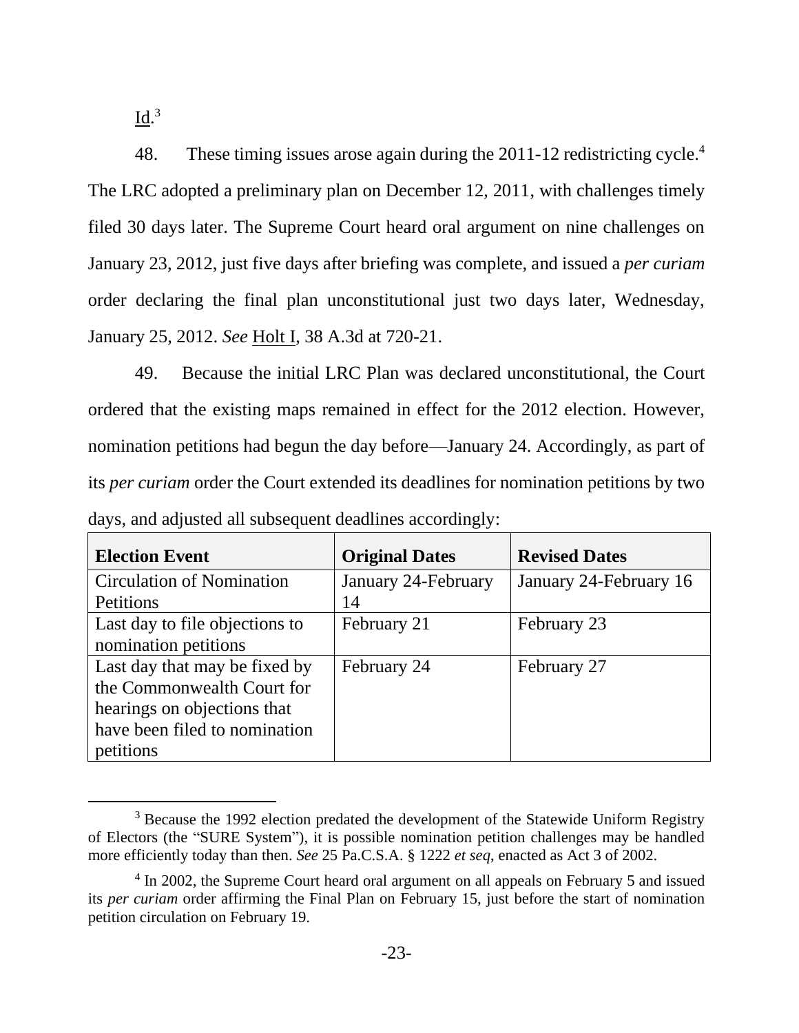$\underline{\mathrm{Id}}$ .<sup>3</sup>

48. These timing issues arose again during the 2011-12 redistricting cycle.<sup>4</sup> The LRC adopted a preliminary plan on December 12, 2011, with challenges timely filed 30 days later. The Supreme Court heard oral argument on nine challenges on January 23, 2012, just five days after briefing was complete, and issued a *per curiam*  order declaring the final plan unconstitutional just two days later, Wednesday, January 25, 2012. *See* Holt I, 38 A.3d at 720-21.

49. Because the initial LRC Plan was declared unconstitutional, the Court ordered that the existing maps remained in effect for the 2012 election. However, nomination petitions had begun the day before—January 24. Accordingly, as part of its *per curiam* order the Court extended its deadlines for nomination petitions by two days, and adjusted all subsequent deadlines accordingly:

| <b>Election Event</b>            | <b>Original Dates</b> | <b>Revised Dates</b>   |
|----------------------------------|-----------------------|------------------------|
| <b>Circulation of Nomination</b> | January 24-February   | January 24-February 16 |
| <b>Petitions</b>                 | 14                    |                        |
| Last day to file objections to   | February 21           | February 23            |
| nomination petitions             |                       |                        |
| Last day that may be fixed by    | February 24           | February 27            |
| the Commonwealth Court for       |                       |                        |
| hearings on objections that      |                       |                        |
| have been filed to nomination    |                       |                        |
| petitions                        |                       |                        |

<sup>&</sup>lt;sup>3</sup> Because the 1992 election predated the development of the Statewide Uniform Registry of Electors (the "SURE System"), it is possible nomination petition challenges may be handled more efficiently today than then. *See* 25 Pa.C.S.A. § 1222 *et seq*, enacted as Act 3 of 2002.

<sup>&</sup>lt;sup>4</sup> In 2002, the Supreme Court heard oral argument on all appeals on February 5 and issued its *per curiam* order affirming the Final Plan on February 15, just before the start of nomination petition circulation on February 19.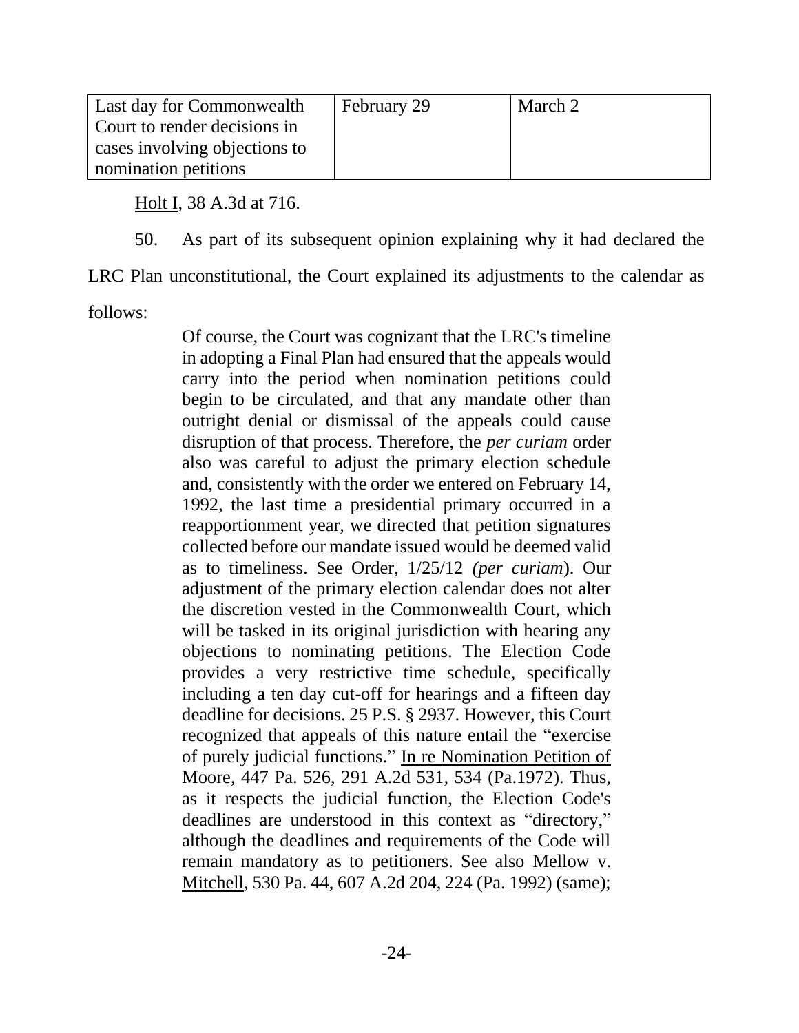| Last day for Commonwealth     | February 29 | March 2 |
|-------------------------------|-------------|---------|
| Court to render decisions in  |             |         |
| cases involving objections to |             |         |
| nomination petitions          |             |         |

Holt I, 38 A.3d at 716.

50. As part of its subsequent opinion explaining why it had declared the

LRC Plan unconstitutional, the Court explained its adjustments to the calendar as

follows:

Of course, the Court was cognizant that the LRC's timeline in adopting a Final Plan had ensured that the appeals would carry into the period when nomination petitions could begin to be circulated, and that any mandate other than outright denial or dismissal of the appeals could cause disruption of that process. Therefore, the *per curiam* order also was careful to adjust the primary election schedule and, consistently with the order we entered on February 14, 1992, the last time a presidential primary occurred in a reapportionment year, we directed that petition signatures collected before our mandate issued would be deemed valid as to timeliness. See Order, 1/25/12 *(per curiam*). Our adjustment of the primary election calendar does not alter the discretion vested in the Commonwealth Court, which will be tasked in its original jurisdiction with hearing any objections to nominating petitions. The Election Code provides a very restrictive time schedule, specifically including a ten day cut-off for hearings and a fifteen day deadline for decisions. 25 P.S. § 2937. However, this Court recognized that appeals of this nature entail the "exercise of purely judicial functions." In re Nomination Petition of Moore, 447 Pa. 526, 291 A.2d 531, 534 (Pa.1972). Thus, as it respects the judicial function, the Election Code's deadlines are understood in this context as "directory," although the deadlines and requirements of the Code will remain mandatory as to petitioners. See also Mellow v. Mitchell, 530 Pa. 44, 607 A.2d 204, 224 (Pa. 1992) (same);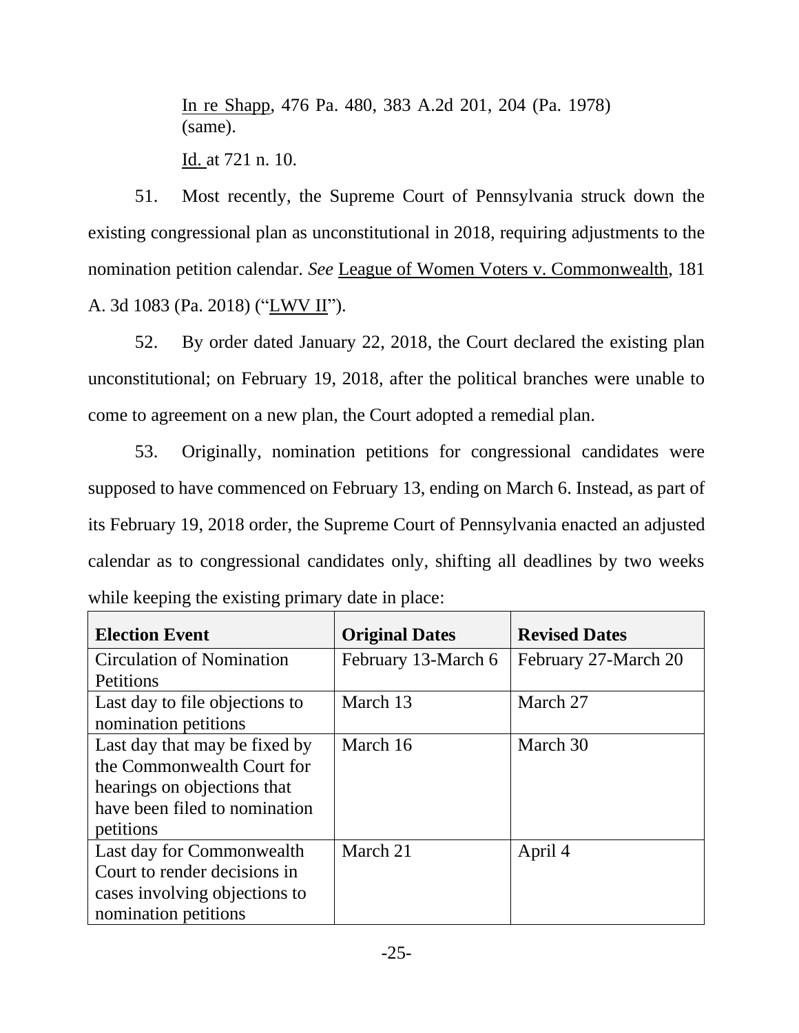In re Shapp, 476 Pa. 480, 383 A.2d 201, 204 (Pa. 1978) (same).

Id. at 721 n. 10.

51. Most recently, the Supreme Court of Pennsylvania struck down the existing congressional plan as unconstitutional in 2018, requiring adjustments to the nomination petition calendar. *See* League of Women Voters v. Commonwealth, 181 A. 3d 1083 (Pa. 2018) ("LWV II").

52. By order dated January 22, 2018, the Court declared the existing plan unconstitutional; on February 19, 2018, after the political branches were unable to come to agreement on a new plan, the Court adopted a remedial plan.

53. Originally, nomination petitions for congressional candidates were supposed to have commenced on February 13, ending on March 6. Instead, as part of its February 19, 2018 order, the Supreme Court of Pennsylvania enacted an adjusted calendar as to congressional candidates only, shifting all deadlines by two weeks while keeping the existing primary date in place:

| <b>Election Event</b>            | <b>Original Dates</b> | <b>Revised Dates</b> |
|----------------------------------|-----------------------|----------------------|
| <b>Circulation of Nomination</b> | February 13-March 6   | February 27-March 20 |
| Petitions                        |                       |                      |
| Last day to file objections to   | March 13              | March 27             |
| nomination petitions             |                       |                      |
| Last day that may be fixed by    | March 16              | March 30             |
| the Commonwealth Court for       |                       |                      |
| hearings on objections that      |                       |                      |
| have been filed to nomination    |                       |                      |
| petitions                        |                       |                      |
| Last day for Commonwealth        | March 21              | April 4              |
| Court to render decisions in     |                       |                      |
| cases involving objections to    |                       |                      |
| nomination petitions             |                       |                      |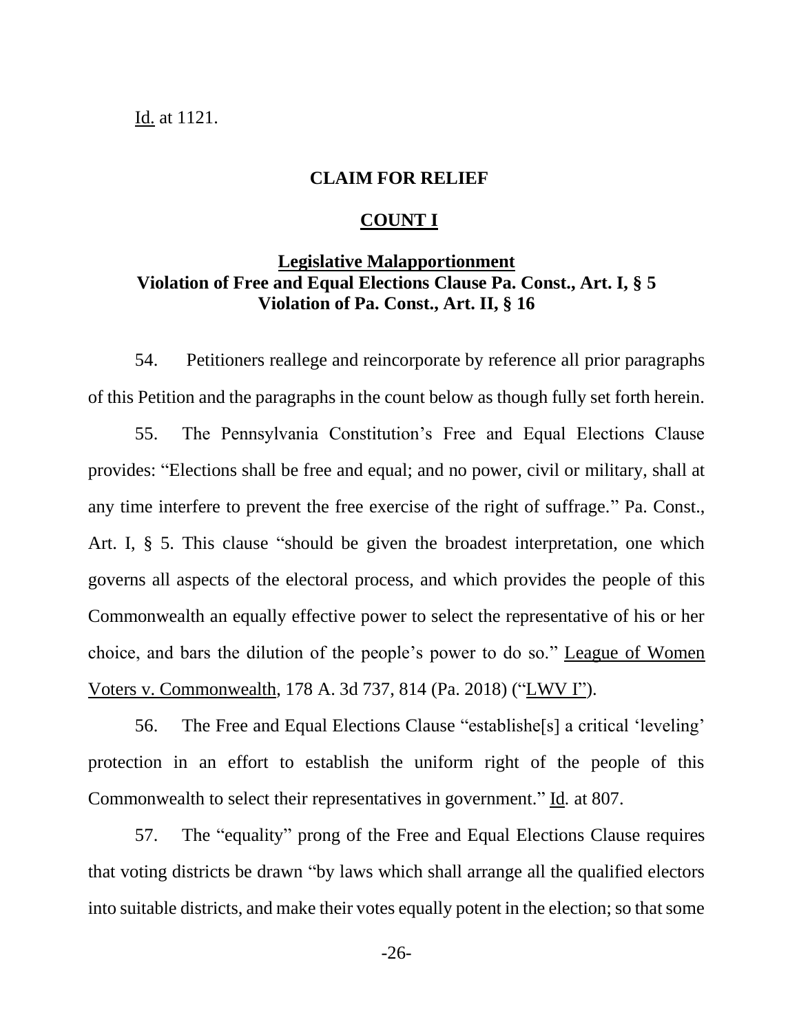#### Id. at 1121.

#### **CLAIM FOR RELIEF**

#### **COUNT I**

## **Legislative Malapportionment Violation of Free and Equal Elections Clause Pa. Const., Art. I, § 5 Violation of Pa. Const., Art. II, § 16**

54. Petitioners reallege and reincorporate by reference all prior paragraphs of this Petition and the paragraphs in the count below as though fully set forth herein.

55. The Pennsylvania Constitution's Free and Equal Elections Clause provides: "Elections shall be free and equal; and no power, civil or military, shall at any time interfere to prevent the free exercise of the right of suffrage." Pa. Const., Art. I, § 5. This clause "should be given the broadest interpretation, one which governs all aspects of the electoral process, and which provides the people of this Commonwealth an equally effective power to select the representative of his or her choice, and bars the dilution of the people's power to do so." League of Women Voters v. Commonwealth, 178 A. 3d 737, 814 (Pa. 2018) ("LWV I").

56. The Free and Equal Elections Clause "establishe[s] a critical 'leveling' protection in an effort to establish the uniform right of the people of this Commonwealth to select their representatives in government." Id*.* at 807.

57. The "equality" prong of the Free and Equal Elections Clause requires that voting districts be drawn "by laws which shall arrange all the qualified electors into suitable districts, and make their votes equally potent in the election; so that some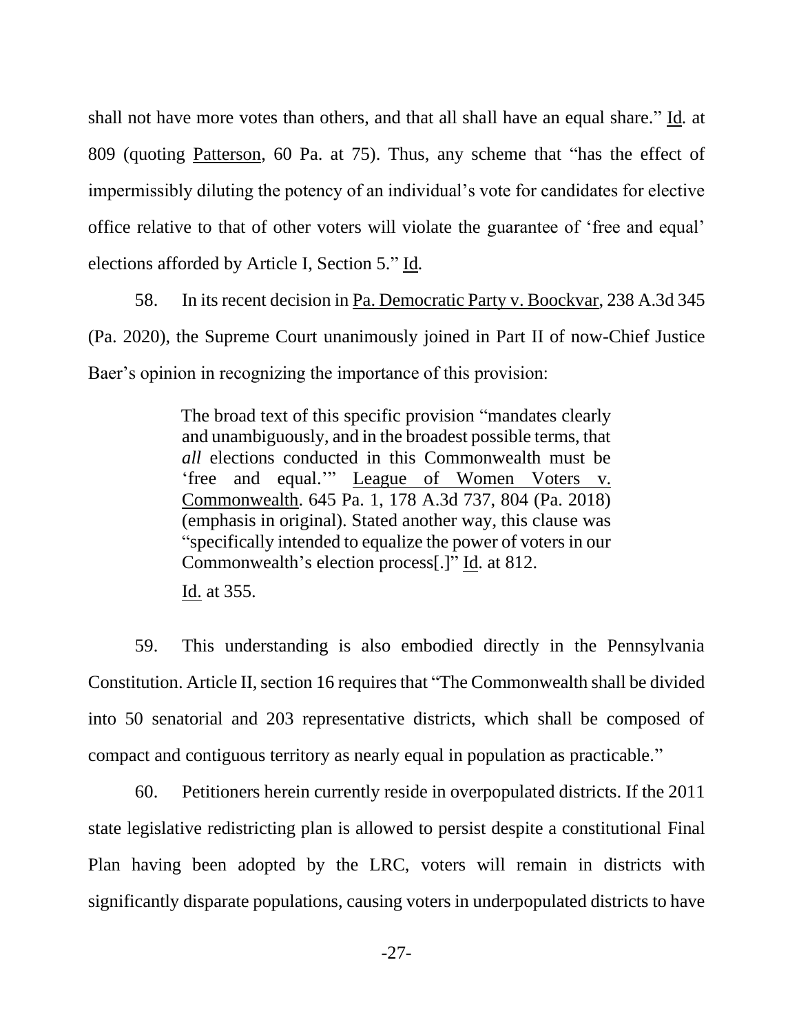shall not have more votes than others, and that all shall have an equal share." Id*.* at 809 (quoting Patterson, 60 Pa. at 75). Thus, any scheme that "has the effect of impermissibly diluting the potency of an individual's vote for candidates for elective office relative to that of other voters will violate the guarantee of 'free and equal' elections afforded by Article I, Section 5." Id*.*

58. In its recent decision in Pa. Democratic Party v. Boockvar, 238 A.3d 345 (Pa. 2020), the Supreme Court unanimously joined in Part II of now-Chief Justice Baer's opinion in recognizing the importance of this provision:

> The broad text of this specific provision "mandates clearly and unambiguously, and in the broadest possible terms, that *all* elections conducted in this Commonwealth must be 'free and equal.'" League of Women Voters v. Commonwealth. 645 Pa. 1, 178 A.3d 737, 804 (Pa. 2018) (emphasis in original). Stated another way, this clause was "specifically intended to equalize the power of voters in our Commonwealth's election process[.]" Id. at 812. Id. at 355.

59. This understanding is also embodied directly in the Pennsylvania Constitution. Article II, section 16 requires that "The Commonwealth shall be divided into 50 senatorial and 203 representative districts, which shall be composed of compact and contiguous territory as nearly equal in population as practicable."

60. Petitioners herein currently reside in overpopulated districts. If the 2011 state legislative redistricting plan is allowed to persist despite a constitutional Final Plan having been adopted by the LRC, voters will remain in districts with significantly disparate populations, causing voters in underpopulated districts to have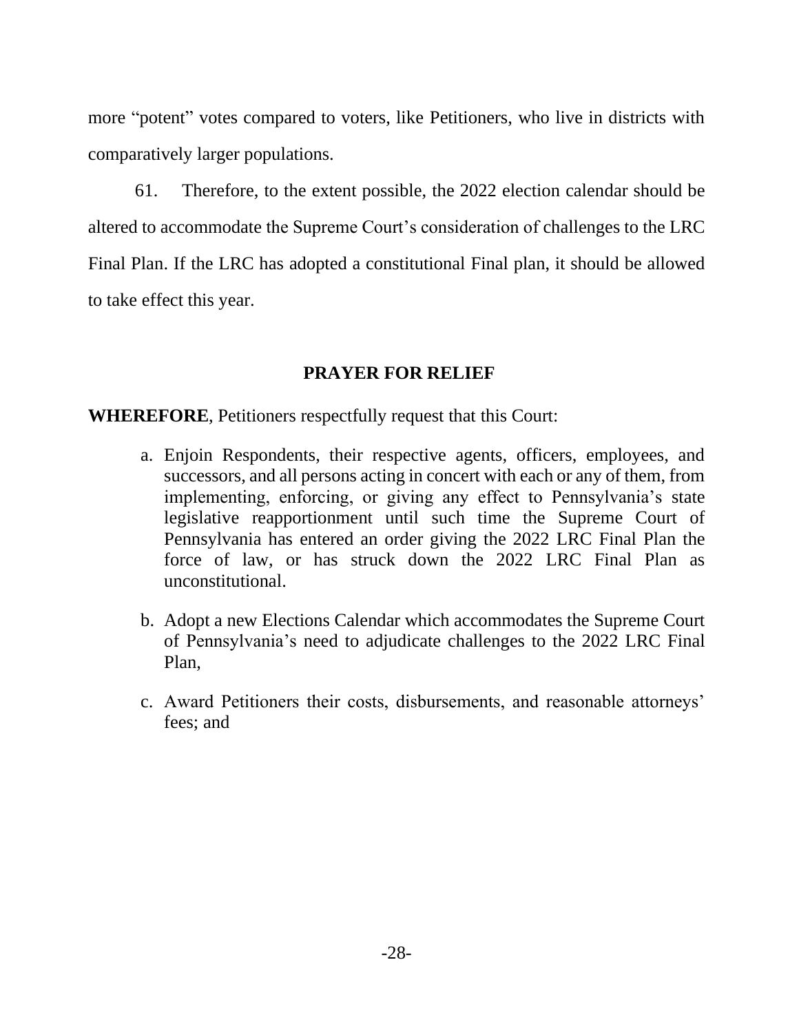more "potent" votes compared to voters, like Petitioners, who live in districts with comparatively larger populations.

61. Therefore, to the extent possible, the 2022 election calendar should be altered to accommodate the Supreme Court's consideration of challenges to the LRC Final Plan. If the LRC has adopted a constitutional Final plan, it should be allowed to take effect this year.

## **PRAYER FOR RELIEF**

**WHEREFORE**, Petitioners respectfully request that this Court:

- a. Enjoin Respondents, their respective agents, officers, employees, and successors, and all persons acting in concert with each or any of them, from implementing, enforcing, or giving any effect to Pennsylvania's state legislative reapportionment until such time the Supreme Court of Pennsylvania has entered an order giving the 2022 LRC Final Plan the force of law, or has struck down the 2022 LRC Final Plan as unconstitutional.
- b. Adopt a new Elections Calendar which accommodates the Supreme Court of Pennsylvania's need to adjudicate challenges to the 2022 LRC Final Plan,
- c. Award Petitioners their costs, disbursements, and reasonable attorneys' fees; and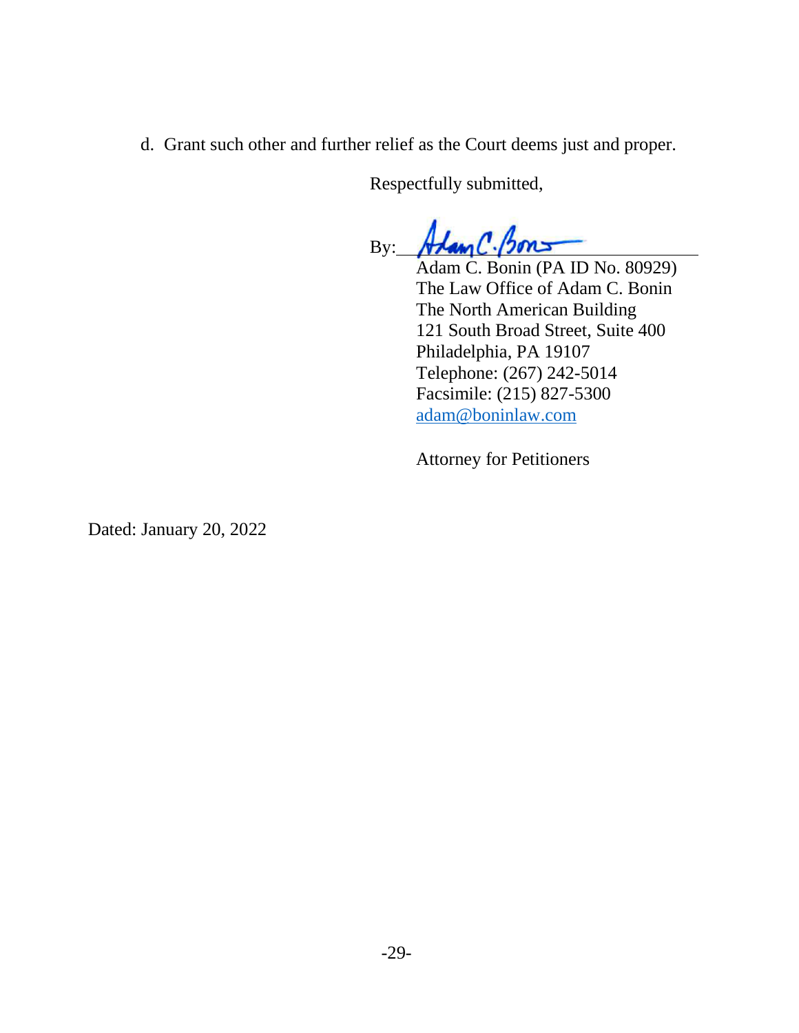d. Grant such other and further relief as the Court deems just and proper.

Respectfully submitted,

By: Alam C. Bons

Adam C. Bonin (PA ID No. 80929) The Law Office of Adam C. Bonin The North American Building 121 South Broad Street, Suite 400 Philadelphia, PA 19107 Telephone: (267) 242-5014 Facsimile: (215) 827-5300 [adam@boninlaw.com](mailto:adam@boninlaw.com)

Attorney for Petitioners

Dated: January 20, 2022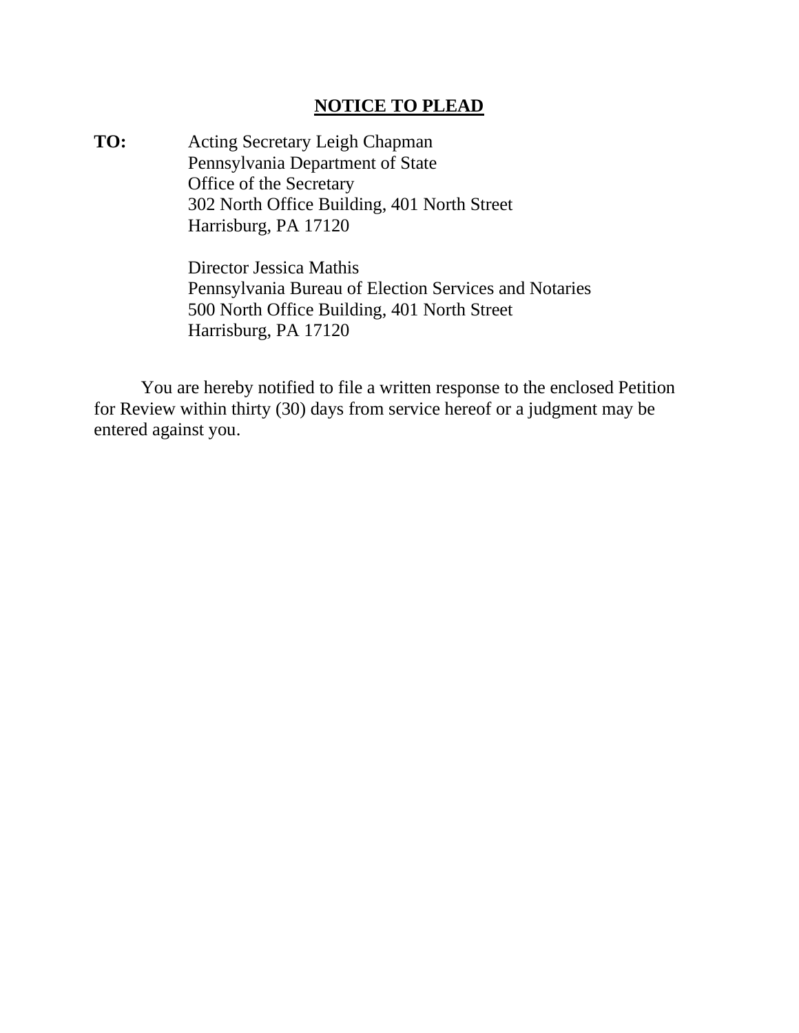## **NOTICE TO PLEAD**

**TO:** Acting Secretary Leigh Chapman Pennsylvania Department of State Office of the Secretary 302 North Office Building, 401 North Street Harrisburg, PA 17120

> Director Jessica Mathis Pennsylvania Bureau of Election Services and Notaries 500 North Office Building, 401 North Street Harrisburg, PA 17120

You are hereby notified to file a written response to the enclosed Petition for Review within thirty (30) days from service hereof or a judgment may be entered against you.